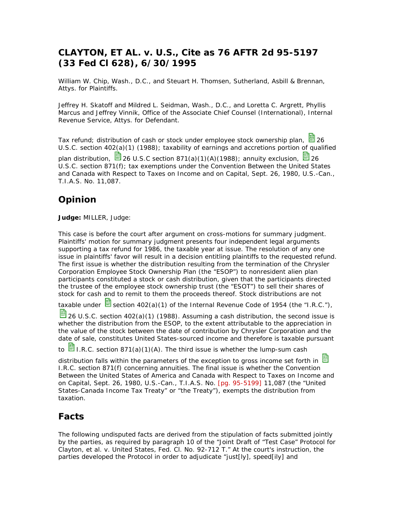# **CLAYTON, ET AL. v. U.S., Cite as 76 AFTR 2d 95-5197 (33 Fed Cl 628), 6/30/1995**

William W. Chip, Wash., D.C., and Steuart H. Thomsen, Sutherland, Asbill & Brennan, Attys. for Plaintiffs.

Jeffrey H. Skatoff and Mildred L. Seidman, Wash., D.C., and Loretta C. Argrett, Phyllis Marcus and Jeffrey Vinnik, Office of the Associate Chief Counsel (International), Internal Revenue Service, Attys. for Defendant.

Tax refund; distribution of cash or stock under employee stock ownership plan,  $\blacksquare$  26 U.S.C. section 402(a)(1) (1988); taxability of earnings and accretions portion of qualified plan distribution,  $\frac{13}{26}$  26 U.S.C section 871(a)(1)(A)(1988); annuity exclusion,  $\frac{13}{26}$  26 U.S.C. section 871(f); tax exemptions under the Convention Between the United States and Canada with Respect to Taxes on Income and on Capital, Sept. 26, 1980, U.S.-Can., T.I.A.S. No. 11,087.

# **Opinion**

**Judge:** MILLER, Judge:

This case is before the court after argument on cross-motions for summary judgment. Plaintiffs' motion for summary judgment presents four independent legal arguments supporting a tax refund for 1986, the taxable year at issue. The resolution of any one issue in plaintiffs' favor will result in a decision entitling plaintiffs to the requested refund. The first issue is whether the distribution resulting from the termination of the Chrysler Corporation Employee Stock Ownership Plan (the "ESOP") to nonresident alien plan participants constituted a stock or cash distribution, given that the participants directed the trustee of the employee stock ownership trust (the "ESOT") to sell their shares of stock for cash and to remit to them the proceeds thereof. Stock distributions are not

taxable under  $\frac{1}{2}$  section 402(a)(1) of the Internal Revenue Code of 1954 (the "I.R.C."),

 $\frac{1}{20}$  26 U.S.C. section 402(a)(1) (1988). Assuming a cash distribution, the second issue is whether the distribution from the ESOP, to the extent attributable to the appreciation in the value of the stock between the date of contribution by Chrysler Corporation and the date of sale, constitutes United States-sourced income and therefore is taxable pursuant

to  $\blacksquare$  I.R.C. section 871(a)(1)(A). The third issue is whether the lump-sum cash

distribution falls within the parameters of the exception to gross income set forth in I.R.C. section 871(f) concerning annuities. The final issue is whether the Convention Between the United States of America and Canada with Respect to Taxes on Income and on Capital, Sept. 26, 1980, U.S.-Can., T.I.A.S. No. [pg. 95-5199] 11,087 (the "United States-Canada Income Tax Treaty" or "the Treaty"), exempts the distribution from taxation.

# **Facts**

The following undisputed facts are derived from the stipulation of facts submitted jointly by the parties, as required by paragraph 10 of the "Joint Draft of "Test Case" Protocol for Clayton, et al. v. United States, Fed. Cl. No. 92-712 T." At the court's instruction, the parties developed the Protocol in order to adjudicate "just[ly], speed[ily] and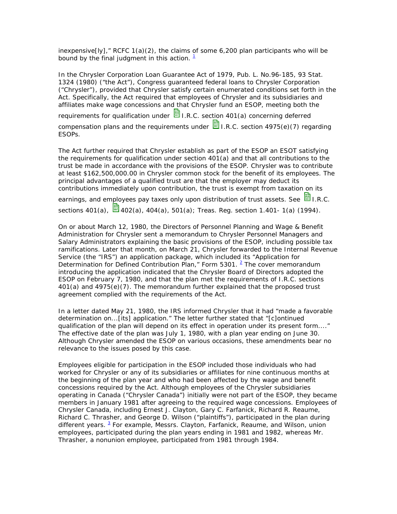inexpensive[ly]," RCFC  $1(a)(2)$ , the claims of some 6,200 plan participants who will be bound by the final judgment in this action.  $1$ 

In the Chrysler Corporation Loan Guarantee Act of 1979, Pub. L. No.96-185, 93 Stat. 1324 (1980) ("the Act"), Congress guaranteed federal loans to Chrysler Corporation ("Chrysler"), provided that Chrysler satisfy certain enumerated conditions set forth in the Act. Specifically, the Act required that employees of Chrysler and its subsidiaries and affiliates make wage concessions and that Chrysler fund an ESOP, meeting both the requirements for qualification under  $\blacksquare$  I.R.C. section 401(a) concerning deferred compensation plans and the requirements under  $\blacksquare$  I.R.C. section 4975(e)(7) regarding ESOPs.

The Act further required that Chrysler establish as part of the ESOP an ESOT satisfying the requirements for qualification under section 401(a) and that all contributions to the trust be made in accordance with the provisions of the ESOP. Chrysler was to contribute at least \$162,500,000.00 in Chrysler common stock for the benefit of its employees. The principal advantages of a qualified trust are that the employer may deduct its contributions immediately upon contribution, the trust is exempt from taxation on its

earnings, and employees pay taxes only upon distribution of trust assets. See **E** I.R.C. sections 401(a), **402(a)**, 404(a), 501(a); Treas. Reg. section 1.401- 1(a) (1994).

On or about March 12, 1980, the Directors of Personnel Planning and Wage & Benefit Administration for Chrysler sent a memorandum to Chrysler Personnel Managers and Salary Administrators explaining the basic provisions of the ESOP, including possible tax ramifications. Later that month, on March 21, Chrysler forwarded to the Internal Revenue Service (the "IRS") an application package, which included its "Application for Determination for Defined Contribution Plan," Form 5301.  $2$  The cover memorandum introducing the application indicated that the Chrysler Board of Directors adopted the ESOP on February 7, 1980, and that the plan met the requirements of I.R.C. sections 401(a) and 4975(e)(7). The memorandum further explained that the proposed trust agreement complied with the requirements of the Act.

In a letter dated May 21, 1980, the IRS informed Chrysler that it had "made a favorable determination on...[its] application." The letter further stated that "[c]ontinued qualification of the plan will depend on its effect in operation under its present form...." The effective date of the plan was July 1, 1980, with a plan year ending on June 30. Although Chrysler amended the ESOP on various occasions, these amendments bear no relevance to the issues posed by this case.

Employees eligible for participation in the ESOP included those individuals who had worked for Chrysler or any of its subsidiaries or affiliates for nine continuous months at the beginning of the plan year and who had been affected by the wage and benefit concessions required by the Act. Although employees of the Chrysler subsidiaries operating in Canada ("Chrysler Canada") initially were not part of the ESOP, they became members in January 1981 after agreeing to the required wage concessions. Employees of Chrysler Canada, including Ernest J. Clayton, Gary C. Farfanick, Richard R. Reaume, Richard C. Thrasher, and George D. Wilson ("plaintiffs"), participated in the plan during different years. <sup>3</sup> For example, Messrs. Clayton, Farfanick, Reaume, and Wilson, union employees, participated during the plan years ending in 1981 and 1982, whereas Mr. Thrasher, a nonunion employee, participated from 1981 through 1984.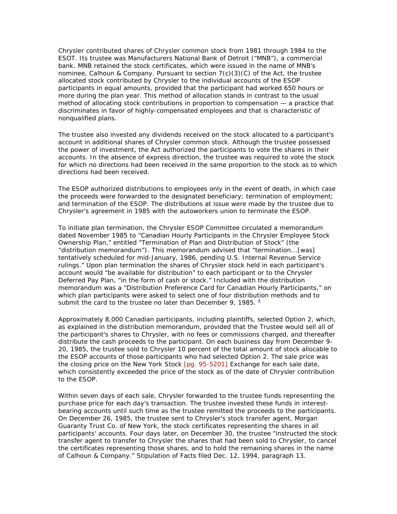Chrysler contributed shares of Chrysler common stock from 1981 through 1984 to the ESOT. Its trustee was Manufacturers National Bank of Detroit ("MNB"), a commercial bank. MNB retained the stock certificates, which were issued in the name of MNB's nominee, Calhoun & Company. Pursuant to section  $7(c)(3)(C)$  of the Act, the trustee allocated stock contributed by Chrysler to the individual accounts of the ESOP participants in equal amounts, provided that the participant had worked 650 hours or more during the plan year. This method of allocation stands in contrast to the usual method of allocating stock contributions in proportion to compensation — a practice that discriminates in favor of highly-compensated employees and that is characteristic of nonqualified plans.

The trustee also invested any dividends received on the stock allocated to a participant's account in additional shares of Chrysler common stock. Although the trustee possessed the power of investment, the Act authorized the participants to vote the shares in their accounts. In the absence of express direction, the trustee was required to vote the stock for which no directions had been received in the same proportion to the stock as to which directions had been received.

The ESOP authorized distributions to employees only in the event of death, in which case the proceeds were forwarded to the designated beneficiary; termination of employment; and termination of the ESOP. The distributions at issue were made by the trustee due to Chrysler's agreement in 1985 with the autoworkers union to terminate the ESOP.

To initiate plan termination, the Chrysler ESOP Committee circulated a memorandum dated November 1985 to "Canadian Hourly Participants in the Chrysler Employee Stock Ownership Plan," entitled "Termination of Plan and Distribution of Stock" (the "distribution memorandum"). This memorandum advised that "termination...[was] tentatively scheduled for mid-January, 1986, pending U.S. Internal Revenue Service rulings." Upon plan termination the shares of Chrysler stock held in each participant's account would "be available for distribution" to each participant or to the Chrysler Deferred Pay Plan, "in the form of cash or stock." Included with the distribution memorandum was a "Distribution Preference Card for Canadian Hourly Participants," on which plan participants were asked to select one of four distribution methods and to submit the card to the trustee no later than December 9, 1985.  $\frac{4}{3}$ 

Approximately 8,000 Canadian participants, including plaintiffs, selected Option 2, which, as explained in the distribution memorandum, provided that the Trustee would sell all of the participant's shares to Chrysler, with no fees or commissions charged, and thereafter distribute the cash proceeds to the participant. On each business day from December 9- 20, 1985, the trustee sold to Chrysler 10 percent of the total amount of stock allocable to the ESOP accounts of those participants who had selected Option 2. The sale price was the closing price on the New York Stock [pg. 95-5201] Exchange for each sale date, which consistently exceeded the price of the stock as of the date of Chrysler contribution to the ESOP.

Within seven days of each sale, Chrysler forwarded to the trustee funds representing the purchase price for each day's transaction. The trustee invested these funds in interestbearing accounts until such time as the trustee remitted the proceeds to the participants. On December 26, 1985, the trustee sent to Chrysler's stock transfer agent, Morgan Guaranty Trust Co. of New York, the stock certificates representing the shares in all participants' accounts. Four days later, on December 30, the trustee "instructed the stock transfer agent to transfer to Chrysler the shares that had been sold to Chrysler, to cancel the certificates representing those shares, and to hold the remaining shares in the name of Calhoun & Company." Stipulation of Facts filed Dec. 12, 1994, paragraph 13.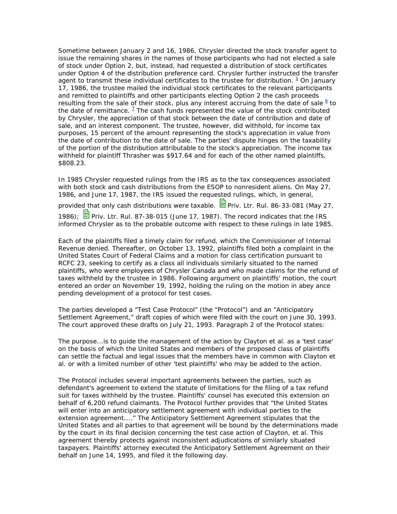Sometime between January 2 and 16, 1986, Chrysler directed the stock transfer agent to issue the remaining shares in the names of those participants who had not elected a sale of stock under Option 2, but, instead, had requested a distribution of stock certificates under Option 4 of the distribution preference card. Chrysler further instructed the transfer agent to transmit these individual certificates to the trustee for distribution. <sup>5</sup> On January 17, 1986, the trustee mailed the individual stock certificates to the relevant participants and remitted to plaintiffs and other participants electing Option 2 the cash proceeds resulting from the sale of their stock, plus any interest accruing from the date of sale  $6$  to the date of remittance.  $1/2$  The cash funds represented the value of the stock contributed by Chrysler, the appreciation of that stock between the date of contribution and date of sale, and an interest component. The trustee, however, did withhold, for income tax purposes, 15 percent of the amount representing the stock's appreciation in value from the date of contribution to the date of sale. The parties' dispute hinges on the taxability of the portion of the distribution attributable to the stock's appreciation. The income tax withheld for plaintiff Thrasher was \$917.64 and for each of the other named plaintiffs, \$808.23.

In 1985 Chrysler requested rulings from the IRS as to the tax consequences associated with both stock and cash distributions from the ESOP to nonresident aliens. On May 27, 1986, and June 17, 1987, the IRS issued the requested rulings, which, in general,

provided that only cash distributions were taxable.  $\Box$  Priv. Ltr. Rul. 86-33-081 (May 27, 1986); Priv. Ltr. Rul. 87-38-015 (June 17, 1987). The record indicates that the IRS informed Chrysler as to the probable outcome with respect to these rulings in late 1985.

Each of the plaintiffs filed a timely claim for refund, which the Commissioner of Internal Revenue denied. Thereafter, on October 13, 1992, plaintiffs filed both a complaint in the United States Court of Federal Claims and a motion for class certification pursuant to RCFC 23, seeking to certify as a class all individuals similarly situated to the named plaintiffs, who were employees of Chrysler Canada and who made claims for the refund of taxes withheld by the trustee in 1986. Following argument on plaintiffs' motion, the court entered an order on November 19, 1992, holding the ruling on the motion in abey ance pending development of a protocol for test cases.

The parties developed a "Test Case Protocol" (the "Protocol") and an "Anticipatory Settlement Agreement," draft copies of which were filed with the court on June 30, 1993. The court approved these drafts on July 21, 1993. Paragraph 2 of the Protocol states:

The purpose...is to guide the management of the action by Clayton et al. as a 'test case' on the basis of which the United States and members of the proposed class of plaintiffs can settle the factual and legal issues that the members have in common with Clayton et al. or with a limited number of other 'test plaintiffs' who may be added to the action.

The Protocol includes several important agreements between the parties, such as defendant's agreement to extend the statute of limitations for the filing of a tax refund suit for taxes withheld by the trustee. Plaintiffs' counsel has executed this extension on behalf of 6,200 refund claimants. The Protocol further provides that "the United States will enter into an anticipatory settlement agreement with individual parties to the extension agreement...." The Anticipatory Settlement Agreement stipulates that the United States and all parties to that agreement will be bound by the determinations made by the court in its final decision concerning the test case action of Clayton, et al. This agreement thereby protects against inconsistent adjudications of similarly situated taxpayers. Plaintiffs' attorney executed the Anticipatory Settlement Agreement on their behalf on June 14, 1995, and filed it the following day.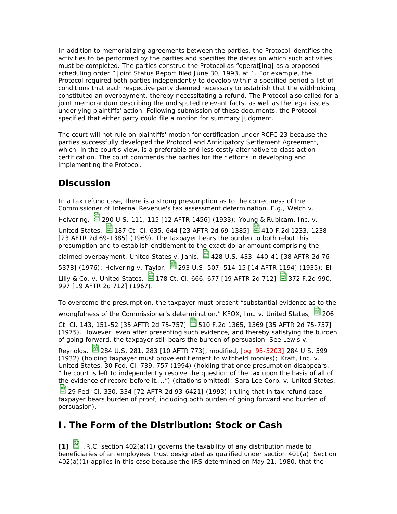In addition to memorializing agreements between the parties, the Protocol identifies the activities to be performed by the parties and specifies the dates on which such activities must be completed. The parties construe the Protocol as "operat[ing] as a proposed scheduling order." Joint Status Report filed June 30, 1993, at 1. For example, the Protocol required both parties independently to develop within a specified period a list of conditions that each respective party deemed necessary to establish that the withholding constituted an overpayment, thereby necessitating a refund. The Protocol also called for a joint memorandum describing the undisputed relevant facts, as well as the legal issues underlying plaintiffs' action. Following submission of these documents, the Protocol specified that either party could file a motion for summary judgment.

The court will not rule on plaintiffs' motion for certification under RCFC 23 because the parties successfully developed the Protocol and Anticipatory Settlement Agreement, which, in the court's view, is a preferable and less costly alternative to class action certification. The court commends the parties for their efforts in developing and implementing the Protocol.

# **Discussion**

In a tax refund case, there is a strong presumption as to the correctness of the Commissioner of Internal Revenue's tax assessment determination. E.g., Welch v. Helvering, 290 U.S. 111, 115 [12 AFTR 1456] (1933); Young & Rubicam, Inc. v. United States,  $\boxdot$  187 Ct. Cl. 635, 644 [23 AFTR 2d 69-1385]  $\boxdot$  410 F.2d 1233, 1238 [23 AFTR 2d 69-1385] (1969). The taxpayer bears the burden to both rebut this presumption and to establish entitlement to the exact dollar amount comprising the claimed overpayment. United States v. Janis,  $\overline{13}$  428 U.S. 433, 440-41 [38 AFTR 2d 76-5378] (1976); Helvering v. Taylor, 203 U.S. 507, 514-15 [14 AFTR 1194] (1935); Eli Lilly & Co. v. United States,  $\frac{13}{2}$ 178 Ct. Cl. 666, 677 [19 AFTR 2d 712]  $\frac{13}{2}$ 372 F.2d 990, 997 [19 AFTR 2d 712] (1967).

To overcome the presumption, the taxpayer must present "substantial evidence as to the wrongfulness of the Commissioner's determination." KFOX, Inc. v. United States, ■ 206

Ct. Cl. 143, 151-52 [35 AFTR 2d 75-757]  $\Xi$  510 F.2d 1365, 1369 [35 AFTR 2d 75-757] (1975). However, even after presenting such evidence, and thereby satisfying the burden of going forward, the taxpayer still bears the burden of persuasion. See Lewis v.

Reynolds, **3** 284 U.S. 281, 283 [10 AFTR 773], modified, [pg. 95-5203] 284 U.S. 599 (1932) (holding taxpayer must prove entitlement to withheld monies); Kraft, Inc. v. United States, 30 Fed. Cl. 739, 757 (1994) (holding that once presumption disappears, "the court is left to independently resolve the question of the tax upon the basis of all of the evidence of record before it....") (citations omitted); Sara Lee Corp. v. United States,

29 Fed. Cl. 330, 334 [72 AFTR 2d 93-6421] (1993) (ruling that in tax refund case taxpayer bears burden of proof, including both burden of going forward and burden of persuasion).

# **I. The Form of the Distribution: Stock or Cash**

**[1]** I.R.C. section 402(a)(1) governs the taxability of any distribution made to beneficiaries of an employees' trust designated as qualified under section 401(a). Section 402(a)(1) applies in this case because the IRS determined on May 21, 1980, that the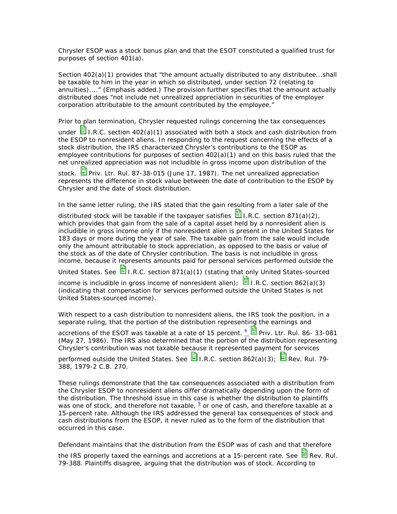Chrysler ESOP was a stock bonus plan and that the ESOT constituted a qualified trust for purposes of section 401(a).

Section 402(a)(1) provides that "*the amount actually distributed* to any distributee...shall be *taxable* to him *in the year in which so distributed*, under section 72 (relating to annuities)...." (Emphasis added.) The provision further specifies that the amount actually distributed does "not include net unrealized appreciation in securities of the employer corporation attributable to the amount contributed by the employee."

Prior to plan termination, Chrysler requested rulings concerning the tax consequences under  $\Xi$  I.R.C. section 402(a)(1) associated with both a stock and cash distribution from the ESOP to nonresident aliens. In responding to the request concerning the effects of a stock distribution, the IRS characterized Chrysler's contributions to the ESOP as employee contributions for purposes of section 402(a)(1) and on this basis ruled that the net unrealized appreciation was not includible in gross income upon distribution of the

stock. **Priv.** Ltr. Rul. 87-38-015 (June 17, 1987). The net unrealized appreciation represents the difference in stock value between the date of contribution to the ESOP by Chrysler and the date of stock distribution.

In the same letter ruling, the IRS stated that the gain resulting from a later sale of the

distributed stock will be taxable if the taxpayer satisfies  $\mathbb{E}$  I.R.C. section 871(a)(2), which provides that gain from the sale of a capital asset held by a nonresident alien is includible in gross income only if the nonresident alien is present in the United States for 183 days or more during the year of sale. The taxable gain from the sale would include only the amount attributable to stock appreciation, as opposed to the basis or value of the stock as of the date of Chrysler contribution. The basis is not includible in gross income, because it represents amounts paid for personal services performed outside the

United States. See  $\blacksquare$  I.R.C. section 871(a)(1) (stating that only United States-sourced

income is includible in gross income of nonresident alien);  $\Box$  I.R.C. section 862(a)(3) (indicating that compensation for services performed outside the United States is not United States-sourced income).

With respect to a cash distribution to nonresident aliens, the IRS took the position, in a separate ruling, that the portion of the distribution representing the earnings and

accretions of the ESOT was taxable at a rate of 15 percent.  $\frac{8}{2}$  Priv. Ltr. Rul. 86- 33-081 (May 27, 1986). The IRS also determined that the portion of the distribution representing Chrysler's contribution was not taxable because it represented payment for services performed outside the United States. See **E**I.R.C. section 862(a)(3); **Rev. Rul. 79-**

388, 1979-2 C.B. 270.

These rulings demonstrate that the tax consequences associated with a distribution from the Chrysler ESOP to nonresident aliens differ dramatically depending upon the form of the distribution. The threshold issue in this case is whether the distribution to plaintiffs was one of stock, and therefore not taxable,  $\frac{9}{2}$  or one of cash, and therefore taxable at a 15-percent rate. Although the IRS addressed the general tax consequences of stock and cash distributions from the ESOP, it never ruled as to the form of the distribution that occurred in this case.

Defendant maintains that the distribution from the ESOP was of cash and that therefore

the IRS properly taxed the earnings and accretions at a 15-percent rate. See  $\Xi$  Rev. Rul. 79-388. Plaintiffs disagree, arguing that the distribution was of stock. According to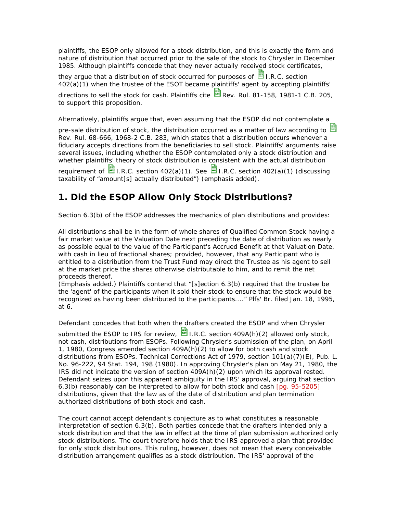plaintiffs, the ESOP only allowed for a stock distribution, and this is exactly the form and nature of distribution that occurred prior to the sale of the stock to Chrysler in December 1985. Although plaintiffs concede that they never actually received stock certificates,

they argue that a distribution of stock occurred for purposes of  $\blacksquare$  I.R.C. section 402(a)(1) when the trustee of the ESOT became plaintiffs' agent by accepting plaintiffs' directions to sell the stock for cash. Plaintiffs cite  $\Box$  Rev. Rul. 81-158, 1981-1 C.B. 205, to support this proposition.

Alternatively, plaintiffs argue that, even assuming that the ESOP did not contemplate a

pre-sale distribution of stock, the distribution occurred as a matter of law according to  $E$ Rev. Rul. 68-666, 1968-2 C.B. 283, which states that a distribution occurs whenever a fiduciary accepts directions from the beneficiaries to sell stock. Plaintiffs' arguments raise several issues, including whether the ESOP contemplated only a stock distribution and whether plaintiffs' theory of stock distribution is consistent with the actual distribution requirement of  $\blacksquare$  I.R.C. section 402(a)(1). See  $\blacksquare$  I.R.C. section 402(a)(1) (discussing taxability of "amount[s] *actually distributed*") (emphasis added).

# **1. Did the ESOP Allow Only Stock Distributions?**

Section 6.3(b) of the ESOP addresses the mechanics of plan distributions and provides:

*All distributions shall be in the form of whole shares of Qualified Common Stock* having a fair market value at the Valuation Date next preceding the date of distribution as nearly as possible equal to the value of the Participant's Accrued Benefit at that Valuation Date, with cash in lieu of fractional shares; *provided, however,* that *any Participant who is entitled to a distribution* from the Trust Fund *may direct the Trustee as his agent to sell at the market price the shares otherwise distributable to him, and to remit the net proceeds thereof*.

(Emphasis added.) Plaintiffs contend that "[s]ection 6.3(b) required that the trustee be the 'agent' of the participants when it sold their stock to ensure that the stock would be recognized as having been distributed to the participants...." Plfs' Br. filed Jan. 18, 1995, at 6.

Defendant concedes that both when the drafters created the ESOP and when Chrysler

submitted the ESOP to IRS for review,  $\Xi$  I.R.C. section 409A(h)(2) allowed only stock, not cash, distributions from ESOPs. Following Chrysler's submission of the plan, on April 1, 1980, Congress amended section 409A(h)(2) to allow for both cash and stock distributions from ESOPs. Technical Corrections Act of 1979, section 101(a)(7)(E), Pub. L. No. 96-222, 94 Stat. 194, 198 (1980). In approving Chrysler's plan on May 21, 1980, the IRS did not indicate the version of section 409A(h)(2) upon which its approval rested. Defendant seizes upon this apparent ambiguity in the IRS' approval, arguing that section 6.3(b) reasonably can be interpreted to allow for both stock and cash [pg. 95-5205] distributions, given that the law as of the date of distribution and plan termination authorized distributions of both stock and cash.

The court cannot accept defendant's conjecture as to what constitutes a reasonable interpretation of section 6.3(b). Both parties concede that the drafters intended only a stock distribution and that the law in effect at the time of plan submission authorized only stock distributions. The court therefore holds that the IRS approved a plan that provided for only stock distributions. This ruling, however, does not mean that every conceivable distribution arrangement qualifies as a stock distribution. The IRS' approval of the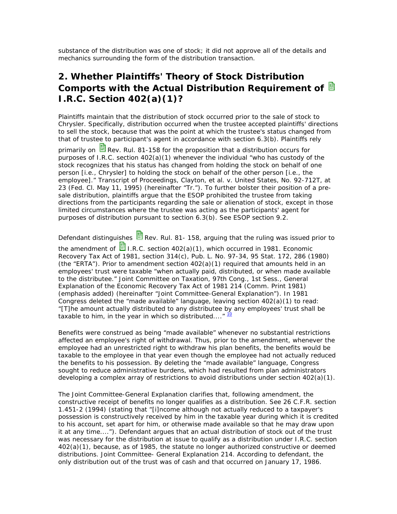substance of the distribution was one of stock; it did not approve all of the details and mechanics surrounding the form of the distribution transaction.

# **2. Whether Plaintiffs' Theory of Stock Distribution Comports with the Actual Distribution Requirement of I.R.C. Section 402(a)(1)?**

Plaintiffs maintain that the distribution of stock occurred prior to the sale of stock to Chrysler. Specifically, distribution occurred when the trustee accepted plaintiffs' directions to sell the stock, because that was the point at which the trustee's status changed from that of trustee to participant's agent in accordance with section 6.3(b). Plaintiffs rely

primarily on  $\mathbb{E}$  Rev. Rul. 81-158 for the proposition that a distribution occurs for purposes of I.R.C. section 402(a)(1) whenever the individual "who has custody of the stock recognizes that his status has changed from holding the stock on behalf of one person [i.e., Chrysler] to holding the stock on behalf of the other person [i.e., the employee]." Transcript of Proceedings, Clayton, et al. v. United States, No. 92-712T, at 23 (Fed. Cl. May 11, 1995) (hereinafter "Tr."). To further bolster their position of a presale distribution, plaintiffs argue that the ESOP prohibited the trustee from taking directions from the participants regarding the sale or alienation of stock, except in those limited circumstances where the trustee was acting as the participants' agent for purposes of distribution pursuant to section 6.3(b). See ESOP section 9.2.

Defendant distinguishes  $\blacksquare$  Rev. Rul. 81- 158, arguing that the ruling was issued prior to the amendment of  $\blacksquare$  I.R.C. section 402(a)(1), which occurred in 1981. Economic Recovery Tax Act of 1981, section 314(c), Pub. L. No. 97-34, 95 Stat. 172, 286 (1980) (the "ERTA"). Prior to amendment section  $402(a)(1)$  required that amounts held in an employees' trust were taxable "when actually paid, distributed, or *when made available to the distributee*." Joint Committee on Taxation, 97th Cong., 1st Sess., General Explanation of the Economic Recovery Tax Act of 1981 214 (Comm. Print 1981) (emphasis added) (hereinafter "Joint Committee-General Explanation"). In 1981 Congress deleted the "made available" language, leaving section 402(a)(1) to read: "[T]he amount *actually distributed* to any distributee by any employees' trust shall be taxable to him, in the year in which so distributed...."  $\frac{10}{2}$ 

Benefits were construed as being "made available" whenever no substantial restrictions affected an employee's right of withdrawal. Thus, prior to the amendment, whenever the employee had an unrestricted right to withdraw his plan benefits, the benefits would be taxable to the employee in that year even though the employee had not actually reduced the benefits to his possession. By deleting the "made available" language, Congress sought to reduce administrative burdens, which had resulted from plan administrators developing a complex array of restrictions to avoid distributions under section  $402(a)(1)$ .

The Joint Committee-General Explanation clarifies that, following amendment, the constructive receipt of benefits no longer qualifies as a distribution. See 26 C.F.R. section 1.451-2 (1994) (stating that "[i]ncome although not actually reduced to a taxpayer's possession is constructively received by him in the taxable year during which it is credited to his account, set apart for him, or otherwise made available so that he may draw upon it at any time...."). Defendant argues that an actual distribution of stock out of the trust was necessary for the distribution at issue to qualify as a distribution under I.R.C. section 402(a)(1), because, as of 1985, the statute no longer authorized constructive or deemed distributions. Joint Committee- General Explanation 214. According to defendant, the only distribution out of the trust was of cash and that occurred on January 17, 1986.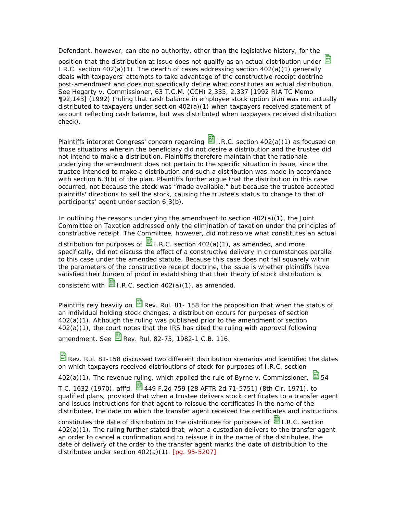Defendant, however, can cite no authority, other than the legislative history, for the position that the distribution at issue does not qualify as an actual distribution under  $\mathbb{B}$ I.R.C. section  $402(a)(1)$ . The dearth of cases addressing section  $402(a)(1)$  generally deals with taxpayers' attempts to take advantage of the constructive receipt doctrine post-amendment and does not specifically define what constitutes an actual distribution. See Hegarty v. Commissioner, 63 T.C.M. (CCH) 2,335, 2,337 [1992 RIA TC Memo ¶92,143] (1992) (ruling that cash balance in employee stock option plan was not actually distributed to taxpayers under section 402(a)(1) when taxpayers received statement of account reflecting cash balance, but was distributed when taxpayers received distribution check).

Plaintiffs interpret Congress' concern regarding  $\Box$  I.R.C. section 402(a)(1) as focused on those situations wherein the beneficiary did not desire a distribution and the trustee did not intend to make a distribution. Plaintiffs therefore maintain that the rationale underlying the amendment does not pertain to the specific situation in issue, since the trustee intended to make a distribution and such a distribution was made in accordance with section 6.3(b) of the plan. Plaintiffs further argue that the distribution in this case occurred, not because the stock was "made available," but because the trustee accepted plaintiffs' directions to sell the stock, causing the trustee's status to change to that of participants' agent under section 6.3(b).

In outlining the reasons underlying the amendment to section 402(a)(1), the Joint Committee on Taxation addressed only the elimination of taxation under the principles of constructive receipt. The Committee, however, did not resolve what constitutes an actual

distribution for purposes of  $\blacksquare$  I.R.C. section 402(a)(1), as amended, and more specifically, did not discuss the effect of a constructive delivery in circumstances parallel to this case under the amended statute. Because this case does not fall squarely within the parameters of the constructive receipt doctrine, the issue is whether plaintiffs have satisfied their burden of proof in establishing that their theory of stock distribution is

consistent with  $\blacksquare$  I.R.C. section 402(a)(1), as amended.

Plaintiffs rely heavily on  $\Xi$  Rev. Rul. 81- 158 for the proposition that when the status of an individual holding stock changes, a distribution occurs for purposes of section 402(a)(1). Although the ruling was published prior to the amendment of section 402(a)(1), the court notes that the IRS has cited the ruling with approval following

amendment. See  $\blacksquare$  Rev. Rul. 82-75, 1982-1 C.B. 116.

Rev. Rul. 81-158 discussed two different distribution scenarios and identified the dates on which taxpayers received distributions of stock for purposes of I.R.C. section

402(a)(1). The revenue ruling, which applied the rule of Byrne v. Commissioner.  $\blacksquare$  54

T.C. 1632 (1970), aff'd,  $\Xi$  449 F.2d 759 [28 AFTR 2d 71-5751] (8th Cir. 1971), to qualified plans, provided that when a trustee delivers stock certificates to a transfer agent and issues instructions for that agent to reissue the certificates in the name of the distributee, the date on which the transfer agent received the certificates and instructions

constitutes the date of distribution to the distributee for purposes of  $\blacksquare$  I.R.C. section 402(a)(1). The ruling further stated that, when a custodian delivers to the transfer agent an order to cancel a confirmation and to reissue it in the name of the distributee, the date of delivery of the order to the transfer agent marks the date of distribution to the distributee under section  $402(a)(1)$ .  $[pq. 95-5207]$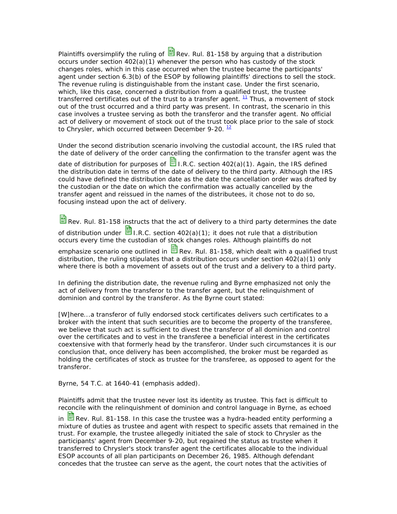Plaintiffs oversimplify the ruling of  $\mathbb{\ddot{B}}$  Rev. Rul. 81-158 by arguing that a distribution occurs under section  $402(a)(1)$  whenever the person who has custody of the stock changes roles, which in this case occurred when the trustee became the participants' agent under section 6.3(b) of the ESOP by following plaintiffs' directions to sell the stock. The revenue ruling is distinguishable from the instant case. Under the first scenario, which, like this case, concerned a distribution from a qualified trust, the trustee transferred certificates out of the trust to a transfer agent.  $^{11}$  Thus, a movement of stock out of the trust occurred and a third party was present. In contrast, the scenario in this case involves a trustee serving as both the transferor and the transfer agent. No official act of delivery or movement of stock out of the trust took place prior to the sale of stock to Chrysler, which occurred between December 9-20.  $12$ 

Under the second distribution scenario involving the custodial account, the IRS ruled that the date of delivery of the order cancelling the confirmation to the transfer agent was the

date of distribution for purposes of  $\blacksquare$  I.R.C. section 402(a)(1). Again, the IRS defined the distribution date in terms of the date of delivery to the third party. Although the IRS could have defined the distribution date as the date the cancellation order was drafted by the custodian or the date on which the confirmation was actually cancelled by the transfer agent and reissued in the names of the distributees, it chose not to do so, focusing instead upon the act of delivery.

Rev. Rul. 81-158 instructs that the act of delivery to a third party determines the date

of distribution under  $\blacksquare$  I.R.C. section 402(a)(1); it does not rule that a distribution occurs every time the custodian of stock changes roles. Although plaintiffs do not

emphasize scenario one outlined in  $\mathbb{B}$  Rev. Rul. 81-158, which dealt with a qualified trust distribution, the ruling stipulates that a distribution occurs under section  $402(a)(1)$  only where there is both a movement of assets out of the trust and a delivery to a third party.

In defining the distribution date, the revenue ruling and Byrne emphasized not only the act of delivery from the transferor to the transfer agent, but the relinquishment of dominion and control by the transferor. As the Byrne court stated:

[W]here...a transferor of fully endorsed stock certificates delivers such certificates to a broker with the intent that such securities are to become the property of the transferee, we believe that such act is *sufficient to divest the transferor of all dominion and control* over the certificates and to vest in the transferee a beneficial interest in the certificates coextensive with that formerly head by the transferor. Under such circumstances it is our conclusion that, *once delivery has been accomplished, the broker must be regarded as holding the certificates of stock as trustee for the transferee, as opposed to agent for the transferor*.

Byrne, 54 T.C. at 1640-41 (emphasis added).

Plaintiffs admit that the trustee never lost its identity as trustee. This fact is difficult to reconcile with the relinquishment of dominion and control language in Byrne, as echoed

in  $\mathbb{E}$  Rev. Rul. 81-158. In this case the trustee was a hydra-headed entity performing a mixture of duties as trustee and agent with respect to specific assets that remained in the trust. For example, the trustee allegedly initiated the sale of stock to Chrysler as the participants' agent from December 9-20, but regained the status as trustee when it transferred to Chrysler's stock transfer agent the certificates allocable to the individual ESOP accounts of all plan participants on December 26, 1985. Although defendant concedes that the trustee can serve as the agent, the court notes that the activities of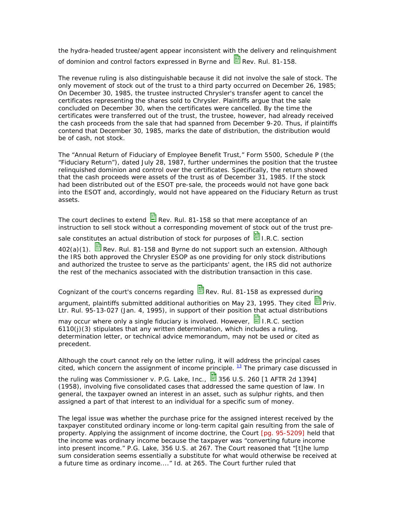the hydra-headed trustee/agent appear inconsistent with the delivery and relinquishment of dominion and control factors expressed in Byrne and  $\blacksquare$  Rev. Rul. 81-158.

The revenue ruling is also distinguishable because it did not involve the sale of stock. The only movement of stock out of the trust to a third party occurred on December 26, 1985; On December 30, 1985, the trustee instructed Chrysler's transfer agent to cancel the certificates representing the shares sold to Chrysler. Plaintiffs argue that the sale concluded on December 30, when the certificates were cancelled. By the time the certificates were transferred out of the trust, the trustee, however, had already received the cash proceeds from the sale that had spanned from December 9-20. Thus, if plaintiffs contend that December 30, 1985, marks the date of distribution, the distribution would be of cash, not stock.

The "Annual Return of Fiduciary of Employee Benefit Trust," Form 5500, Schedule P (the "Fiduciary Return"), dated July 28, 1987, further undermines the position that the trustee relinquished dominion and control over the certificates. Specifically, the return showed that the cash proceeds were assets of the trust as of December 31, 1985. If the stock had been distributed out of the ESOT pre-sale, the proceeds would not have gone back into the ESOT and, accordingly, would not have appeared on the Fiduciary Return as trust assets.

The court declines to extend  $\blacksquare$  Rev. Rul. 81-158 so that mere acceptance of an instruction to sell stock without a corresponding movement of stock out of the trust pre-

sale constitutes an actual distribution of stock for purposes of  $\blacksquare$  I.R.C. section

 $402(a)(1)$ . **B** Rev. Rul. 81-158 and Byrne do not support such an extension. Although the IRS both approved the Chrysler ESOP as one providing for only stock distributions and authorized the trustee to serve as the participants' agent, the IRS did not authorize the rest of the mechanics associated with the distribution transaction in this case.

Cognizant of the court's concerns regarding  $\mathbb{E}$  Rev. Rul. 81-158 as expressed during

argument, plaintiffs submitted additional authorities on May 23, 1995. They cited  $\blacksquare$  Priv. Ltr. Rul. 95-13-027 (Jan. 4, 1995), in support of their position that actual distributions

may occur where only a single fiduciary is involved. However,  $\Box$  I.R.C. section 6110(j)(3) stipulates that any written determination, which includes a ruling, determination letter, or technical advice memorandum, may not be used or cited as precedent.

Although the court cannot rely on the letter ruling, it will address the principal cases cited, which concern the assignment of income principle.  $^{13}$  The primary case discussed in

the ruling was Commissioner v. P.G. Lake, Inc.,  $\overline{3}$  356 U.S. 260 [1 AFTR 2d 1394] (1958), involving five consolidated cases that addressed the same question of law. In general, the taxpayer owned an interest in an asset, such as sulphur rights, and then assigned a part of that interest to an individual for a specific sum of money.

The legal issue was whether the purchase price for the assigned interest received by the taxpayer constituted ordinary income or long-term capital gain resulting from the sale of property. Applying the assignment of income doctrine, the Court [pg. 95-5209] held that the income was ordinary income because the taxpayer was "converting future income into present income." P.G. Lake, 356 U.S. at 267. The Court reasoned that "[t]he lump sum consideration seems essentially a substitute for what would otherwise be received at a future time as ordinary income...." Id. at 265. The Court further ruled that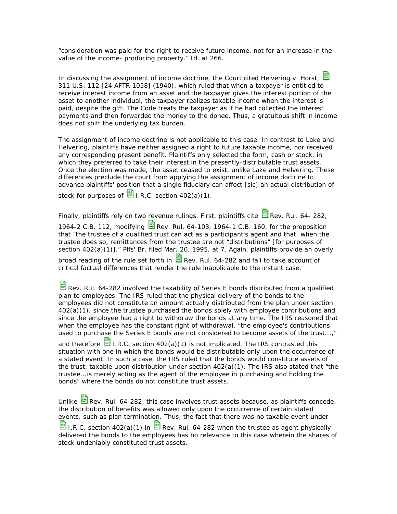"consideration was paid for the right to receive future income, not for an increase in the value of the income- producing property." Id. at 266.

In discussing the assignment of income doctrine, the Court cited Helvering v. Horst. 311 U.S. 112 [24 AFTR 1058] (1940), which ruled that when a taxpayer is entitled to receive interest income from an asset and the taxpayer gives the interest portion of the asset to another individual, the taxpayer realizes taxable income when the interest is paid, despite the gift. The Code treats the taxpayer as if he had collected the interest payments and then forwarded the money to the donee. Thus, a gratuitous shift in income does not shift the underlying tax burden.

The assignment of income doctrine is not applicable to this case. In contrast to Lake and Helvering, plaintiffs have neither assigned a right to future taxable income, nor received any corresponding present benefit. Plaintiffs only selected the form, cash or stock, in which they preferred to take their interest in the presently-distributable trust assets. Once the election was made, the asset ceased to exist, unlike Lake and Helvering. These differences preclude the court from applying the assignment of income doctrine to advance plaintiffs' position that a single fiduciary can affect [sic] an actual distribution of stock for purposes of  $\frac{1}{\sqrt{2}}$  I.R.C. section 402(a)(1).

Finally, plaintiffs rely on two revenue rulings. First, plaintiffs cite  $\Box$  Rev. Rul. 64- 282, 1964-2 C.B. 112, modifying  $\Box$  Rev. Rul. 64-103, 1964-1 C.B. 160, for the proposition that "the trustee of a qualified trust can act as a participant's agent and that, when the trustee does so, remittances from the trustee are not "distributions" [for purposes of section 402(a)(1)]." Plfs' Br. filed Mar. 20, 1995, at 7. Again, plaintiffs provide an overly broad reading of the rule set forth in  $\blacksquare$  Rev. Rul. 64-282 and fail to take account of critical factual differences that render the rule inapplicable to the instant case.

Rev. Rul. 64-282 involved the taxability of Series E bonds distributed from a qualified plan to employees. The IRS ruled that the physical delivery of the bonds to the employees did not constitute an amount actually distributed from the plan under section 402(a)(1), since the trustee purchased the bonds solely with employee contributions and since the employee had a right to withdraw the bonds at any time. The IRS reasoned that when the employee has the constant right of withdrawal, "the employee's contributions used to purchase the Series E bonds are not considered to become assets of the trust...,"

and therefore  $\blacksquare$  I.R.C. section 402(a)(1) is not implicated. The IRS contrasted this situation with one in which the bonds would be distributable only upon the occurrence of a stated event. In such a case, the IRS ruled that the bonds would constitute assets of the trust, taxable upon distribution under section 402(a)(1). The IRS also stated that "the trustee...is merely acting as the agent of the employee in purchasing and holding the bonds" where the bonds do not constitute trust assets.

Unlike  $\blacksquare$  Rev. Rul. 64-282, this case involves trust assets because, as plaintiffs concede, the distribution of benefits was allowed only upon the occurrence of certain stated events, such as plan termination. Thus, the fact that there was no taxable event under I.R.C. section 402(a)(1) in  $\frac{13}{12}$  Rev. Rul. 64-282 when the trustee as agent physically delivered the bonds to the employees has no relevance to this case wherein the shares of stock undeniably constituted trust assets.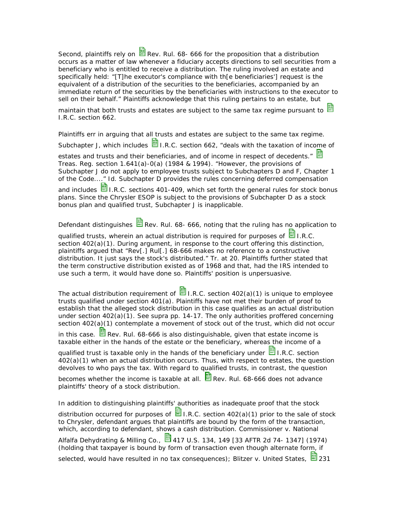Second, plaintiffs rely on  $\Xi$  Rev. Rul. 68- 666 for the proposition that a distribution occurs as a matter of law whenever a fiduciary accepts directions to sell securities from a beneficiary who is entitled to receive a distribution. The ruling involved an estate and specifically held: "[T]he executor's compliance with th[e beneficiaries'] request is the equivalent of a distribution of the securities to the beneficiaries, accompanied by an immediate return of the securities by the beneficiaries with instructions to the executor to sell on their behalf." Plaintiffs acknowledge that this ruling pertains to an estate, but

maintain that both trusts and estates are subject to the same tax regime pursuant to  $\blacksquare$ I.R.C. section 662.

Plaintiffs err in arguing that all trusts and estates are subject to the same tax regime.

Subchapter J, which includes  $\blacksquare$  I.R.C. section 662, "deals with the taxation of income of

estates and trusts and their beneficiaries, and of income in respect of decedents." Treas. Reg. section 1.641(a)-0(a) (1984 & 1994). "However, the provisions of Subchapter J do not apply to employee trusts subject to Subchapters D and F, Chapter 1 of the Code...." Id. Subchapter D provides the rules concerning deferred compensation and includes  $\mathbf{B}$  I.R.C. sections 401-409, which set forth the general rules for stock bonus plans. Since the Chrysler ESOP is subject to the provisions of Subchapter D as a stock bonus plan and qualified trust, Subchapter J is inapplicable.

Defendant distinguishes  $\mathbf{B}$  Rev. Rul. 68- 666, noting that the ruling has no application to

qualified trusts, wherein an actual distribution is required for purposes of  $\blacksquare$  I.R.C. section 402(a)(1). During argument, in response to the court offering this distinction, plaintiffs argued that "Rev[.] Rul[.] 68-666 makes no reference to a constructive distribution. It just says the stock's distributed." Tr. at 20. Plaintiffs further stated that the term constructive distribution existed as of 1968 and that, had the IRS intended to use such a term, it would have done so. Plaintiffs' position is unpersuasive.

The actual distribution requirement of  $\Box$  I.R.C. section 402(a)(1) is unique to employee trusts qualified under section 401(a). Plaintiffs have not met their burden of proof to establish that the alleged stock distribution in this case qualifies as an actual distribution under section 402(a)(1). See supra pp. 14-17. The only authorities proffered concerning section 402(a)(1) contemplate a movement of stock out of the trust, which did not occur

in this case.  $\blacksquare$  Rev. Rul. 68-666 is also distinguishable, given that estate income is taxable either in the hands of the estate or the beneficiary, whereas the income of a

qualified trust is taxable only in the hands of the beneficiary under  $\blacksquare$  I.R.C. section 402(a)(1) when an actual distribution occurs. Thus, with respect to estates, the question devolves to who pays the tax. With regard to qualified trusts, in contrast, the question

becomes whether the income is taxable at all.  $\mathbb{E}$  Rev. Rul. 68-666 does not advance plaintiffs' theory of a stock distribution.

In addition to distinguishing plaintiffs' authorities as inadequate proof that the stock

distribution occurred for purposes of  $\Xi$  I.R.C. section 402(a)(1) prior to the sale of stock to Chrysler, defendant argues that plaintiffs are bound by the form of the transaction, which, according to defendant, shows a cash distribution. Commissioner v. National

Alfalfa Dehydrating & Milling Co.,  $\frac{13}{24}$ 417 U.S. 134, 149 [33 AFTR 2d 74- 1347] (1974) (holding that taxpayer is bound by form of transaction even though alternate form, if

selected, would have resulted in no tax consequences); Blitzer v. United States,  $\mathbb{E}$  231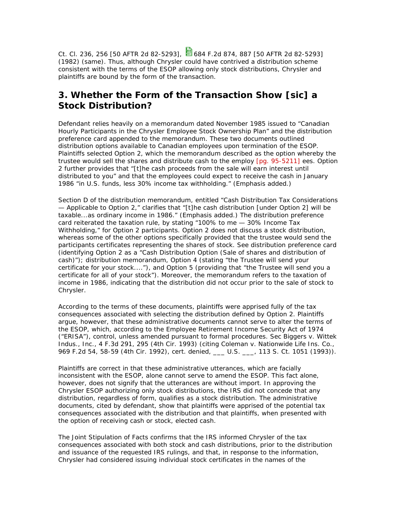Ct. Cl. 236, 256 [50 AFTR 2d 82-5293],  $\frac{1}{5}$  684 F.2d 874, 887 [50 AFTR 2d 82-5293] (1982) (same). Thus, although Chrysler could have contrived a distribution scheme consistent with the terms of the ESOP allowing only stock distributions, Chrysler and plaintiffs are bound by the form of the transaction.

## **3. Whether the Form of the Transaction Show [sic] a Stock Distribution?**

Defendant relies heavily on a memorandum dated November 1985 issued to "Canadian Hourly Participants in the Chrysler Employee Stock Ownership Plan" and the distribution preference card appended to the memorandum. These two documents outlined distribution options available to Canadian employees upon termination of the ESOP. Plaintiffs selected Option 2, which the memorandum described as the option whereby the trustee would sell the shares and distribute cash to the employ [pg. 95-5211] ees. Option 2 further provides that "[t]he cash proceeds from the sale will earn interest until distributed to you" and that the employees could expect to receive the cash in January 1986 "in U.S. funds, *less 30% income tax withholding*." (Emphasis added.)

Section D of the distribution memorandum, entitled "Cash Distribution Tax Considerations — Applicable to Option 2," clarifies that "*[t]he cash distribution* [under Option 2] will be *taxable...as ordinary income in 1986.*" (Emphasis added.) The distribution preference card reiterated the taxation rule, by stating "100% to me — 30% Income Tax Withholding," for Option 2 participants. Option 2 does not discuss a stock distribution, whereas some of the other options specifically provided that the trustee would send the participants certificates representing the shares of stock. See distribution preference card (identifying Option 2 as a "Cash Distribution Option (Sale of shares and distribution of cash)"); distribution memorandum, Option 4 (stating "the Trustee will send your certificate for your stock...."), and Option 5 (providing that "the Trustee will send you a certificate for all of your stock"). Moreover, the memorandum refers to the taxation of income in 1986, indicating that the distribution did not occur prior to the sale of stock to Chrysler.

According to the terms of these documents, plaintiffs were apprised fully of the tax consequences associated with selecting the distribution defined by Option 2. Plaintiffs argue, however, that these administrative documents cannot serve to alter the terms of the ESOP, which, according to the Employee Retirement Income Security Act of 1974 ("ERISA"), control, unless amended pursuant to formal procedures. Sec Biggers v. Wittek Indus., Inc., 4 F.3d 291, 295 (4th Cir. 1993) (citing Coleman v. Nationwide Life Ins. Co., 969 F.2d 54, 58-59 (4th Cir. 1992), cert. denied, \_\_\_ U.S. \_\_\_, 113 S. Ct. 1051 (1993)).

Plaintiffs are correct in that these administrative utterances, which are facially inconsistent with the ESOP, alone cannot serve to amend the ESOP. This fact alone, however, does not signify that the utterances are without import. In approving the Chrysler ESOP authorizing only stock distributions, the IRS did not concede that any distribution, regardless of form, qualifies as a stock distribution. The administrative documents, cited by defendant, show that plaintiffs were apprised of the potential tax consequences associated with the distribution and that plaintiffs, when presented with the option of receiving cash or stock, elected cash.

The Joint Stipulation of Facts confirms that the IRS informed Chrysler of the tax consequences associated with both stock and cash distributions, prior to the distribution and issuance of the requested IRS rulings, and that, in response to the information, Chrysler had considered issuing individual stock certificates in the names of the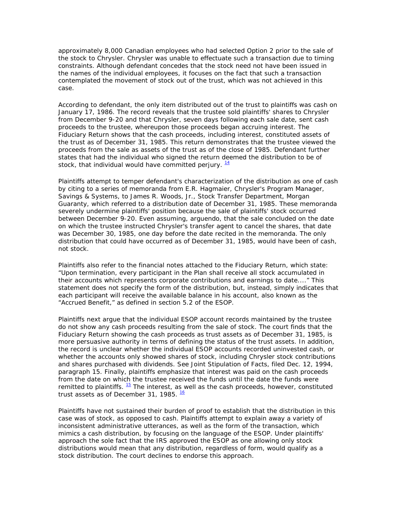approximately 8,000 Canadian employees who had selected Option 2 prior to the sale of the stock to Chrysler. Chrysler was unable to effectuate such a transaction due to timing constraints. Although defendant concedes that the stock need not have been issued in the names of the individual employees, it focuses on the fact that such a transaction contemplated the movement of stock out of the trust, which was not achieved in this case.

According to defendant, the only item distributed out of the trust to plaintiffs was cash on January 17, 1986. The record reveals that the trustee sold plaintiffs' shares to Chrysler from December 9-20 and that Chrysler, seven days following each sale date, sent cash proceeds to the trustee, whereupon those proceeds began accruing interest. The Fiduciary Return shows that the cash proceeds, including interest, constituted assets of the trust as of December 31, 1985. This return demonstrates that the trustee viewed the proceeds from the sale as assets of the trust as of the close of 1985. Defendant further states that had the individual who signed the return deemed the distribution to be of stock, that individual would have committed perjury.  $\frac{14}{1}$ 

Plaintiffs attempt to temper defendant's characterization of the distribution as one of cash by citing to a series of memoranda from E.R. Hagmaier, Chrysler's Program Manager, Savings & Systems, to James R. Woods, Jr., Stock Transfer Department, Morgan Guaranty, which referred to a distribution date of December 31, 1985. These memoranda severely undermine plaintiffs' position because the sale of plaintiffs' stock occurred between December 9-20. Even assuming, arguendo, that the sale concluded on the date on which the trustee instructed Chrysler's transfer agent to cancel the shares, that date was December 30, 1985, one day before the date recited in the memoranda. The only distribution that could have occurred as of December 31, 1985, would have been of cash, not stock.

Plaintiffs also refer to the financial notes attached to the Fiduciary Return, which state: "Upon termination, every participant in the Plan shall receive all stock accumulated in their accounts which represents corporate contributions and earnings to date...." This statement does not specify the form of the distribution, but, instead, simply indicates that each participant will receive the available balance in his account, also known as the "Accrued Benefit," as defined in section 5.2 of the ESOP.

Plaintiffs next argue that the individual ESOP account records maintained by the trustee do not show any cash proceeds resulting from the sale of stock. The court finds that the Fiduciary Return showing the cash proceeds as trust assets as of December 31, 1985, is more persuasive authority in terms of defining the status of the trust assets. In addition, the record is unclear whether the individual ESOP accounts recorded uninvested cash, or whether the accounts only showed shares of stock, including Chrysler stock contributions and shares purchased with dividends. See Joint Stipulation of Facts, filed Dec. 12, 1994, paragraph 15. Finally, plaintiffs emphasize that interest was paid on the cash proceeds from the date on which the trustee received the funds until the date the funds were remitted to plaintiffs.  $\frac{15}{2}$  The interest, as well as the cash proceeds, however, constituted trust assets as of December 31, 1985. <sup>16</sup>

Plaintiffs have not sustained their burden of proof to establish that the distribution in this case was of stock, as opposed to cash. Plaintiffs attempt to explain away a variety of inconsistent administrative utterances, as well as the form of the transaction, which mimics a cash distribution, by focusing on the language of the ESOP. Under plaintiffs' approach the sole fact that the IRS approved the ESOP as one allowing only stock distributions would mean that any distribution, regardless of form, would qualify as a stock distribution. The court declines to endorse this approach.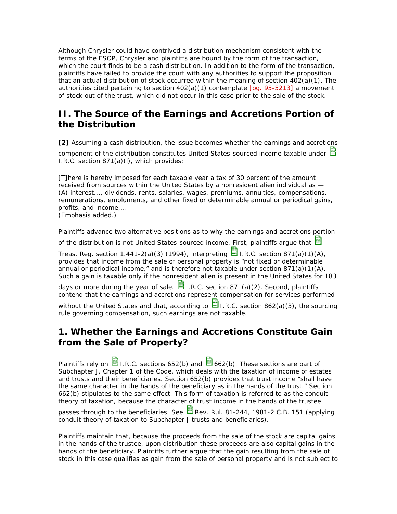Although Chrysler could have contrived a distribution mechanism consistent with the terms of the ESOP, Chrysler and plaintiffs are bound by the form of the transaction, which the court finds to be a cash distribution. In addition to the form of the transaction, plaintiffs have failed to provide the court with any authorities to support the proposition that an actual distribution of stock occurred within the meaning of section 402(a)(1). The authorities cited pertaining to section  $402(a)(1)$  contemplate [pg. 95-5213] a movement of stock out of the trust, which did not occur in this case prior to the sale of the stock.

## **II. The Source of the Earnings and Accretions Portion of the Distribution**

**[2]** Assuming a cash distribution, the issue becomes whether the earnings and accretions component of the distribution constitutes United States-sourced income taxable under I.R.C. section 871(a)(l), which provides:

[T]here is hereby imposed for each taxable year a tax of 30 percent of the amount received from *sources within the United States* by a nonresident alien individual as — (A) interest..., dividends, rents, salaries, wages, premiums, annuities, compensations, remunerations, emoluments, and other *fixed or determinable annual or periodical* gains, profits, and *income*,...

(Emphasis added.)

Plaintiffs advance two alternative positions as to why the earnings and accretions portion

of the distribution is not United States-sourced income. First, plaintiffs argue that  $\blacksquare$ 

Treas. Reg. section  $1.441-2(a)(3)$  (1994), interpreting  $\Box$  I.R.C. section 871(a)(1)(A), provides that income from the sale of personal property is "not fixed or determinable annual or periodical income," and is therefore not taxable under section  $871(a)(1)(A)$ . Such a gain is taxable only if the nonresident alien is present in the United States for 183

days or more during the year of sale.  $\blacksquare$  I.R.C. section 871(a)(2). Second, plaintiffs contend that the earnings and accretions represent compensation for services performed

without the United States and that, according to  $\mathbb{E}_{\text{I.R.C.}}$  section 862(a)(3), the sourcing rule governing compensation, such earnings are not taxable.

## **1. Whether the Earnings and Accretions Constitute Gain from the Sale of Property?**

Plaintiffs rely on  $\mathbb{E}$  I.R.C. sections 652(b) and  $\mathbb{E}$  662(b). These sections are part of Subchapter J, Chapter 1 of the Code, which deals with the taxation of income of estates and trusts and their beneficiaries. Section 652(b) provides that trust income "shall have the same character in the hands of the beneficiary as in the hands of the trust." Section 662(b) stipulates to the same effect. This form of taxation is referred to as the conduit theory of taxation, because the character of trust income in the hands of the trustee

passes through to the beneficiaries. See  $\mathbb{B}$  Rev. Rul. 81-244, 1981-2 C.B. 151 (applying conduit theory of taxation to Subchapter J trusts and beneficiaries).

Plaintiffs maintain that, because the proceeds from the sale of the stock are capital gains in the hands of the trustee, upon distribution these proceeds are also capital gains in the hands of the beneficiary. Plaintiffs further argue that the gain resulting from the sale of stock in this case qualifies as gain from the sale of personal property and is not subject to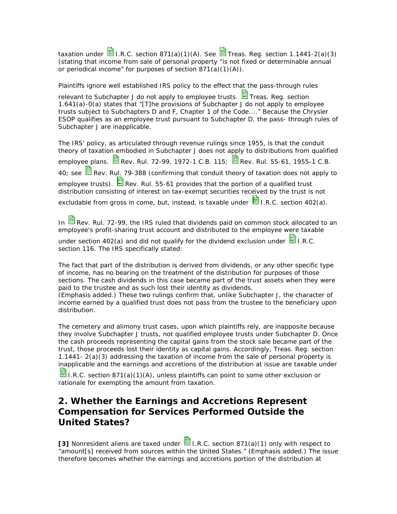taxation under  $\mathbb{E}_{\text{I.R.C.}}$  section 871(a)(1)(A). See  $\mathbb{E}_{\text{Treas.}}$  Reg. section 1.1441-2(a)(3) (stating that income from sale of personal property "is not fixed or determinable annual or periodical income" for purposes of section  $\frac{871(a)(1)(A)}{2}$ .

Plaintiffs ignore well established IRS policy to the effect that the pass-through rules

relevant to Subchapter J do not apply to employee trusts.  $\blacksquare$  Treas. Reg. section 1.641(a)-0(a) states that "[T]he provisions of Subchapter J do not apply to employee trusts subject to Subchapters D and F, Chapter 1 of the Code...." Because the Chrysler ESOP qualifies as an employee trust pursuant to Subchapter D, the pass- through rules of Subchapter J are inapplicable.

The IRS' policy, as articulated through revenue rulings since 1955, is that the conduit theory of taxation embodied in Subchapter J does not apply to distributions from qualified employee plans. **B** Rev. Rul. 72-99, 1972-1 C.B. 115; **B** Rev. Rul. 55-61, 1955-1 C.B. 40; see  $\blacksquare$  Rev. Rul. 79-388 (confirming that conduit theory of taxation does not apply to employee trusts).  $\blacksquare$  Rev. Rul. 55-61 provides that the portion of a qualified trust distribution consisting of interest on tax-exempt securities received by the trust is not excludable from gross in come, but, instead, is taxable under  $\mathbb{E}_{\text{I.R.C.}}$  section 402(a).

In  $\blacksquare$  Rev. Rul. 72-99, the IRS ruled that dividends paid on common stock allocated to an employee's profit-sharing trust account and distributed to the employee were taxable

under section 402(a) and did not qualify for the dividend exclusion under  $\Box$  I.R.C. section 116. The IRS specifically stated:

The fact that part of the distribution is derived *from dividends, or any other specific type of income*, has no bearing on the treatment of the distribution for purposes of those sections. *The cash dividends in this case became part of the trust assets when they were paid to the trustee and as such lost their identity as dividends*.

(Emphasis added.) These two rulings confirm that, unlike Subchapter J, the character of income earned by a qualified trust does not pass from the trustee to the beneficiary upon distribution.

The cemetery and alimony trust cases, upon which plaintiffs rely, are inapposite because they involve Subchapter J trusts, not qualified employee trusts under Subchapter D. Once the cash proceeds representing the capital gains from the stock sale became part of the trust, those proceeds lost their identity as capital gains. Accordingly, Treas. Reg. section 1.1441- 2(a)(3) addressing the taxation of income from the sale of personal property is inapplicable and the earnings and accretions of the distribution at issue are taxable under

I.R.C. section 871(a)(1)(A), unless plaintiffs can point to some other exclusion or rationale for exempting the amount from taxation.

# **2. Whether the Earnings and Accretions Represent Compensation for Services Performed Outside the United States?**

**[3]** Nonresident aliens are taxed under **I.** I.R.C. section 871(a)(1) only with respect to "amount[s] received from *sources within the United States*." (Emphasis added.) The issue therefore becomes whether the earnings and accretions portion of the distribution at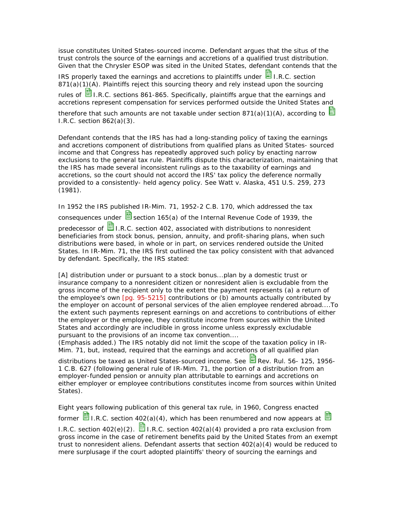issue constitutes United States-sourced income. Defendant argues that the situs of the trust controls the source of the earnings and accretions of a qualified trust distribution. Given that the Chrysler ESOP was sited in the United States, defendant contends that the

IRS properly taxed the earnings and accretions to plaintiffs under  $\Box$  I.R.C. section 871(a)(1)(A). Plaintiffs reject this sourcing theory and rely instead upon the sourcing

rules of **国** I.R.C. sections 861-865. Specifically, plaintiffs argue that the earnings and accretions represent compensation for services performed outside the United States and

therefore that such amounts are not taxable under section 871(a)(1)(A), according to  $E$ I.R.C. section 862(a)(3).

Defendant contends that the IRS has had a long-standing policy of taxing the earnings and accretions component of distributions from qualified plans as United States- sourced income and that Congress has repeatedly approved such policy by enacting narrow exclusions to the general tax rule. Plaintiffs dispute this characterization, maintaining that the IRS has made several inconsistent rulings as to the taxability of earnings and accretions, so the court should not accord the IRS' tax policy the deference normally provided to a consistently- held agency policy. See Watt v. Alaska, 451 U.S. 259, 273 (1981).

In 1952 the IRS published IR-Mim. 71, 1952-2 C.B. 170, which addressed the tax consequences under  $\frac{1}{2}$  section 165(a) of the Internal Revenue Code of 1939, the predecessor of  $\blacksquare$  I.R.C. section 402, associated with distributions to nonresident beneficiaries from stock bonus, pension, annuity, and profit-sharing plans, when such distributions were based, in whole or in part, on services rendered outside the United States. In IR-Mim. 71, the IRS first outlined the tax policy consistent with that advanced by defendant. Specifically, the IRS stated:

[A] distribution under or pursuant to a stock bonus...plan by a domestic trust or insurance company to a nonresident citizen or nonresident alien is excludable from the gross income of the recipient only to the extent the payment represents (a) a return of the employee's own [pg. 95-5215] contributions or (b) amounts actually contributed by the employer on account of personal services of the alien employee rendered abroad....*To the extent such payments represent earnings on and accretions to contributions of either the employer or the employee, they constitute income from sources within the United States* and accordingly are includible in gross income unless expressly excludable pursuant to the provisions of an income tax convention....

(Emphasis added.) The IRS notably did not limit the scope of the taxation policy in IR-Mim. 71, but, instead, required that the earnings and accretions of all qualified plan

distributions be taxed as United States-sourced income. See  $\blacksquare$  Rev. Rul. 56- 125, 1956-1 C.B. 627 (following general rule of IR-Mim. 71, the portion of a distribution from an employer-funded pension or annuity plan attributable to earnings and accretions on either employer or employee contributions constitutes income from sources within United States).

Eight years following publication of this general tax rule, in 1960, Congress enacted former  $\frac{1}{2}$  I.R.C. section 402(a)(4), which has been renumbered and now appears at  $\frac{1}{2}$ I.R.C. section  $402(e)(2)$ . **I.** I.R.C. section  $402(a)(4)$  provided a pro rata exclusion from gross income in the case of retirement benefits paid by the United States from an exempt trust to nonresident aliens. Defendant asserts that section 402(a)(4) would be reduced to mere surplusage if the court adopted plaintiffs' theory of sourcing the earnings and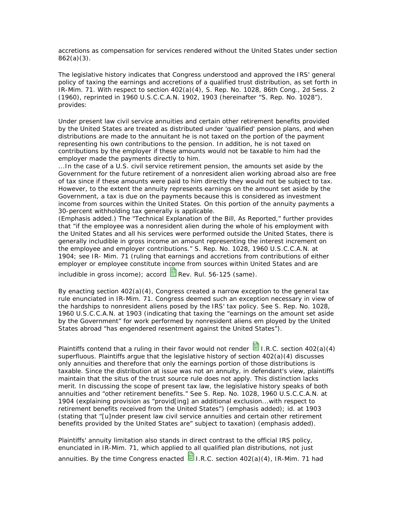accretions as compensation for services rendered without the United States under section 862(a)(3).

The legislative history indicates that Congress understood and approved the IRS' general policy of taxing the earnings and accretions of a qualified trust distribution, as set forth in IR-Mim. 71. With respect to section 402(a)(4), S. Rep. No. 1028, 86th Cong., 2d Sess. 2 (1960), reprinted in 1960 U.S.C.C.A.N. 1902, 1903 (hereinafter "S. Rep. No. 1028"), provides:

Under present law civil service annuities *and certain other retirement benefits* provided by the United States are treated as distributed under 'qualified' pension plans, and when distributions are made to the annuitant he is not taxed on the portion of the payment representing his own contributions to the pension. In addition, he is not taxed on contributions by the employer if these amounts would not be taxable to him had the employer made the payments directly to him.

...In the case of a U.S. civil service retirement pension, the amounts set aside by the Government for the future retirement of a nonresident alien working abroad also are free of tax since if these amounts were paid to him directly they would not be subject to tax. *However, to the extent the annuity represents earnings on the amount set aside by the*  Government, a tax is due on the payments because this is considered as investment *income from sources within the United States*. On this portion of the annuity payments a 30-percent withholding tax generally is applicable.

(Emphasis added.) The "Technical Explanation of the Bill, As Reported," further provides that "if the employee was a nonresident alien during the whole of his employment with the United States and all his services were performed outside the United States, there is generally includible in gross income an amount representing the interest increment on the employee and employer contributions." S. Rep. No. 1028, 1960 U.S.C.C.A.N. at 1904; see IR- Mim. 71 (ruling that earnings and accretions from contributions of either employer or employee constitute income from sources within United States and are

includible in gross income); accord  $\blacksquare$  Rev. Rul. 56-125 (same).

By enacting section  $402(a)(4)$ , Congress created a narrow exception to the general tax rule enunciated in IR-Mim. 71. Congress deemed such an exception necessary in view of the hardships to nonresident aliens posed by the IRS' tax policy. See S. Rep. No. 1028, 1960 U.S.C.C.A.N. at 1903 (indicating that taxing the "earnings on the amount set aside by the Government" for work performed by nonresident aliens em ployed by the United States abroad "has engendered resentment against the United States").

Plaintiffs contend that a ruling in their favor would not render  $\blacksquare$  I.R.C. section 402(a)(4) superfluous. Plaintiffs argue that the legislative history of section 402(a)(4) discusses only annuities and therefore that only the earnings portion of those distributions is taxable. Since the distribution at issue was not an annuity, in defendant's view, plaintiffs maintain that the situs of the trust source rule does not apply. This distinction lacks merit. In discussing the scope of present tax law, the legislative history speaks of both annuities and "other retirement benefits." See S. Rep. No. 1028, 1960 U.S.C.C.A.N. at 1904 (explaining provision as "provid[ing] an additional exclusion...with respect to *retirement benefits* received from the United States") (emphasis added); id. at 1903 (stating that "[u]nder present law civil service annuities *and certain other retirement benefits* provided by the United States are" subject to taxation) (emphasis added).

Plaintiffs' annuity limitation also stands in direct contrast to the official IRS policy, enunciated in IR-Mim. 71, which applied to all qualified plan distributions, not just annuities. By the time Congress enacted  $\Xi$  I.R.C. section 402(a)(4), IR-Mim. 71 had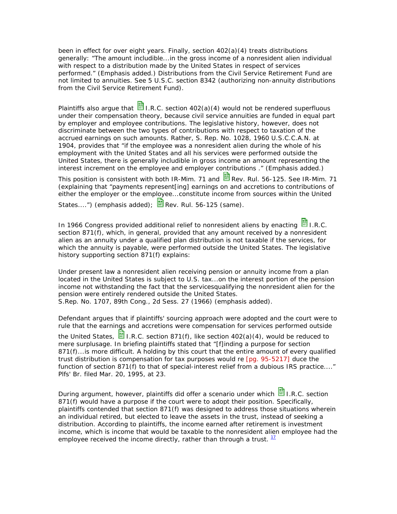been in effect for over eight years. Finally, section 402(a)(4) treats distributions generally: "The amount includible...in the gross income of a nonresident alien individual *with respect to a distribution made by the United States* in respect of services performed." (Emphasis added.) Distributions from the Civil Service Retirement Fund are not limited to annuities. See 5 U.S.C. section 8342 (authorizing non-annuity distributions from the Civil Service Retirement Fund).

Plaintiffs also argue that  $\frac{1}{2}$  I.R.C. section 402(a)(4) would not be rendered superfluous under their compensation theory, because civil service annuities are funded in equal part by employer and employee contributions. The legislative history, however, does not discriminate between the two types of contributions with respect to taxation of the accrued earnings on such amounts. Rather, S. Rep. No. 1028, 1960 U.S.C.C.A.N. at 1904, provides that "if the employee was a nonresident alien during the whole of his employment with the United States and all his services were performed outside the United States, there is generally includible in gross income an amount *representing the interest increment on the employee and employer contributions* ." (Emphasis added.)

This position is consistent with both IR-Mim. 71 and  $\blacksquare$  Rev. Rul. 56-125. See IR-Mim. 71 (explaining that "payments represent[ing] earnings on and accretions to contributions of *either the employer or the employee*...constitute income from sources within the United

States....") (emphasis added);  $\blacksquare$  Rev. Rul. 56-125 (same).

In 1966 Congress provided additional relief to nonresident aliens by enacting  $\blacksquare$  I.R.C. section 871(f), which, in general, provided that any amount received by a nonresident alien as an annuity under a qualified plan distribution is not taxable if the services, for which the annuity is payable, were performed outside the United States. The legislative history supporting section 871(f) explains:

Under present law a nonresident alien receiving pension or annuity income from a plan located in the United States is subject to U.S. tax...*on the interest portion of the pension income not withstanding the fact that the services*qualifying the nonresident alien for the pension *were entirely rendered outside the United States*. S.Rep. No. 1707, 89th Cong., 2d Sess. 27 (1966) (emphasis added).

Defendant argues that if plaintiffs' sourcing approach were adopted and the court were to rule that the earnings and accretions were compensation for services performed outside

the United States,  $\blacksquare$  I.R.C. section 871(f), like section 402(a)(4), would be reduced to mere surplusage. In briefing plaintiffs stated that "[f]inding a purpose for section 871(f)... is more difficult. A holding by this court that the entire amount of every qualified trust distribution is compensation for tax purposes would re [pg. 95-5217] duce the function of section 871(f) to that of special-interest relief from a dubious IRS practice...." Plfs' Br. filed Mar. 20, 1995, at 23.

During argument, however, plaintiffs did offer a scenario under which **in** I.R.C. section 871(f) would have a purpose if the court were to adopt their position. Specifically, plaintiffs contended that section 871(f) was designed to address those situations wherein an individual retired, but elected to leave the assets in the trust, instead of seeking a distribution. According to plaintiffs, the income earned after retirement is investment income, which is income that would be taxable to the nonresident alien employee had the employee received the income directly, rather than through a trust.  $11$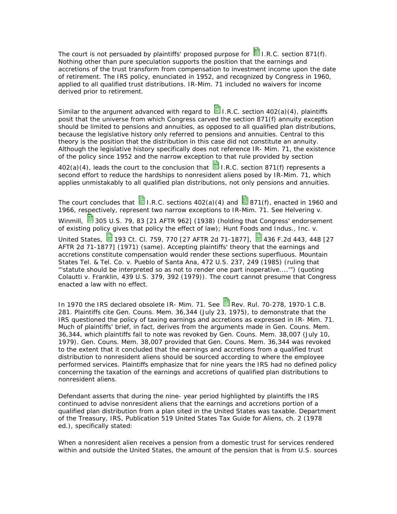The court is not persuaded by plaintiffs' proposed purpose for  $\Box$  I.R.C. section 871(f). Nothing other than pure speculation supports the position that the earnings and accretions of the trust transform from compensation to investment income upon the date of retirement. The IRS policy, enunciated in 1952, and recognized by Congress in 1960, applied to all qualified trust distributions. IR-Mim. 71 included no waivers for income derived prior to retirement.

Similar to the argument advanced with regard to  $\Box$  I.R.C. section 402(a)(4), plaintiffs posit that the universe from which Congress carved the section 871(f) annuity exception should be limited to pensions and annuities, as opposed to all qualified plan distributions, because the legislative history only referred to pensions and annuities. Central to this theory is the position that the distribution in this case did not constitute an annuity. Although the legislative history specifically does not reference IR- Mim. 71, the existence of the policy since 1952 and the narrow exception to that rule provided by section

 $402(a)(4)$ , leads the court to the conclusion that  $\frac{13}{21}$  I.R.C. section 871(f) represents a second effort to reduce the hardships to nonresident aliens posed by IR-Mim. 71, which applies unmistakably to all qualified plan distributions, not only pensions and annuities.

The court concludes that  $\Box$  I.R.C. sections 402(a)(4) and  $\Box$  871(f), enacted in 1960 and 1966, respectively, represent two narrow exceptions to IR-Mim. 71. See Helvering v. Winmill,  $\overline{3}$  305 U.S. 79, 83 [21 AFTR 962] (1938) (holding that Congress' endorsement of existing policy gives that policy the effect of law); Hunt Foods and Indus., Inc. v. United States, **E** 193 Ct. Cl. 759, 770 [27 AFTR 2d 71-1877], **E** 436 F.2d 443, 448 [27 AFTR 2d 71-1877] (1971) (same). Accepting plaintiffs' theory that the earnings and accretions constitute compensation would render these sections superfluous. Mountain States Tel. & Tel. Co. v. Pueblo of Santa Ana, 472 U.S. 237, 249 (1985) (ruling that "'statute should be interpreted so as not to render one part inoperative....'") (quoting Colautti v. Franklin, 439 U.S. 379, 392 (1979)). The court cannot presume that Congress enacted a law with no effect.

In 1970 the IRS declared obsolete IR- Mim. 71. See  $\mathbb{B}_{\mathsf{Rev}}$  Rev. Rul. 70-278, 1970-1 C.B. 281. Plaintiffs cite Gen. Couns. Mem. 36,344 (July 23, 1975), to demonstrate that the IRS questioned the policy of taxing earnings and accretions as expressed in IR- Mim. 71. Much of plaintiffs' brief, in fact, derives from the arguments made in Gen. Couns. Mem. 36,344, which plaintiffs fail to note was revoked by Gen. Couns. Mem. 38,007 (July 10, 1979). Gen. Couns. Mem. 38,007 provided that Gen. Couns. Mem. 36,344 was revoked to the extent that it concluded that the earnings and accretions from a qualified trust distribution to nonresident aliens should be sourced according to where the employee performed services. Plaintiffs emphasize that for nine years the IRS had no defined policy concerning the taxation of the earnings and accretions of qualified plan distributions to nonresident aliens.

Defendant asserts that during the nine- year period highlighted by plaintiffs the IRS continued to advise nonresident aliens that the earnings and accretions portion of a qualified plan distribution from a plan sited in the United States was taxable. Department of the Treasury, IRS, Publication 519 United States Tax Guide for Aliens, ch. 2 (1978 ed.), specifically stated:

When a nonresident alien receives a pension from a domestic trust for services rendered within and outside the United States, the amount of the pension that is from U.S. sources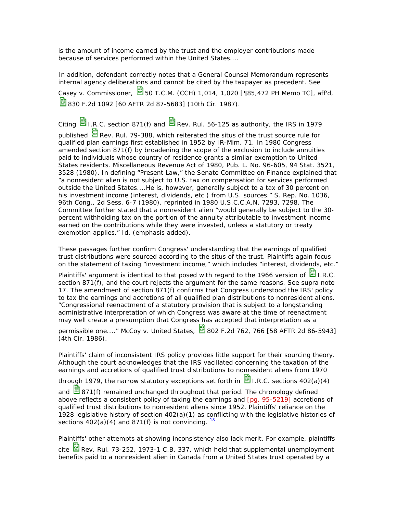is the amount of income earned by the trust and the employer contributions made because of services performed within the United States....

In addition, defendant correctly notes that a General Counsel Memorandum represents internal agency deliberations and cannot be cited by the taxpayer as precedent. See Casey v. Commissioner,  $\frac{1}{20}$  50 T.C.M. (CCH) 1,014, 1,020 [185,472 PH Memo TC], aff'd, 830 F.2d 1092 [60 AFTR 2d 87-5683] (10th Cir. 1987).

Citing  $\Box$  I.R.C. section 871(f) and  $\Box$  Rev. Rul. 56-125 as authority, the IRS in 1979 published  $\boxplus$  Rev. Rul. 79-388, which reiterated the situs of the trust source rule for qualified plan earnings first established in 1952 by IR-Mim. 71. In 1980 Congress amended section 871(f) by broadening the scope of the exclusion to include annuities paid to individuals whose country of residence grants a similar exemption to United States residents. Miscellaneous Revenue Act of 1980, Pub. L. No. 96-605, 94 Stat. 3521, 3528 (1980). In defining "Present Law," the Senate Committee on Finance explained that "a nonresident alien is not subject to U.S. tax on compensation for services performed outside the United States....He is, however, generally subject to a tax of 30 percent on his investment income (interest, dividends, etc.) from U.S. sources." S. Rep. No. 1036, 96th Cong., 2d Sess. 6-7 (1980), reprinted in 1980 U.S.C.C.A.N. 7293, 7298. The Committee further stated that a nonresident alien "*would generally be subject to the 30 percent withholding tax on the portion of the annuity attributable to investment income earned on the contributions while they were invested, unless a statutory or treaty exemption applies*." Id. (emphasis added).

These passages further confirm Congress' understanding that the earnings of qualified trust distributions were sourced according to the situs of the trust. Plaintiffs again focus on the statement of taxing "investment income," which includes "interest, dividends, etc."

Plaintiffs' argument is identical to that posed with regard to the 1966 version of  $\blacksquare$  I.R.C. section 871(f), and the court rejects the argument for the same reasons. See supra note 17. The amendment of section 871(f) confirms that Congress understood the IRS' policy to tax the earnings and accretions of all qualified plan distributions to nonresident aliens. "Congressional reenactment of a statutory provision that is subject to a longstanding administrative interpretation of which Congress was aware at the time of reenactment may well create a presumption that Congress has accepted that interpretation as a

permissible one...." McCoy v. United States,  $\frac{1}{12}$  802 F.2d 762, 766 [58 AFTR 2d 86-5943] (4th Cir. 1986).

Plaintiffs' claim of inconsistent IRS policy provides little support for their sourcing theory. Although the court acknowledges that the IRS vacillated concerning the taxation of the earnings and accretions of qualified trust distributions to nonresident aliens from 1970

through 1979, the narrow statutory exceptions set forth in  $\mathbb{E}_{\text{L.R.C.}}$  sections 402(a)(4)

and  $\boxplus$  871(f) remained unchanged throughout that period. The chronology defined above reflects a consistent policy of taxing the earnings and [pg. 95-5219] accretions of qualified trust distributions to nonresident aliens since 1952. Plaintiffs' reliance on the 1928 legislative history of section  $402(a)(1)$  as conflicting with the legislative histories of sections  $402(a)(4)$  and  $871(f)$  is not convincing.  $\frac{18}{2}$ 

Plaintiffs' other attempts at showing inconsistency also lack merit. For example, plaintiffs cite  $\mathbb{H}$  Rev. Rul. 73-252, 1973-1 C.B. 337, which held that supplemental unemployment benefits paid to a nonresident alien in Canada from a United States trust operated by a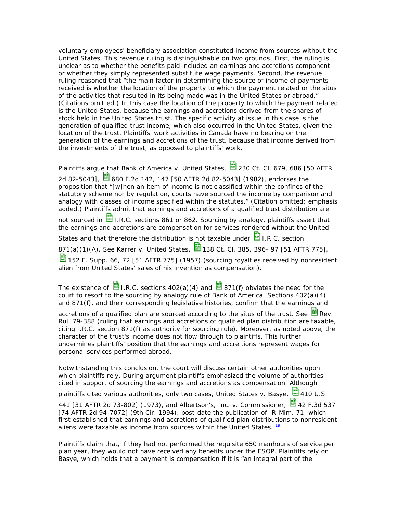voluntary employees' beneficiary association constituted income from sources without the United States. This revenue ruling is distinguishable on two grounds. First, the ruling is unclear as to whether the benefits paid included an earnings and accretions component or whether they simply represented substitute wage payments. Second, the revenue ruling reasoned that "the main factor in determining the source of income of payments received is whether the location of the property to which the payment related or the situs of the activities that resulted in its being made was in the United States or abroad." (Citations omitted.) In this case the location of the property to which the payment related is the United States, because the earnings and accretions derived from the shares of stock held in the United States trust. The specific activity at issue in this case is the generation of qualified trust income, which also occurred in the United States, given the location of the trust. Plaintiffs' work activities in Canada have no bearing on the generation of the earnings and accretions of the trust, because that income derived from the investments of the trust, as opposed to plaintiffs' work.

Plaintiffs argue that Bank of America v. United States, 230 Ct. Cl. 679, 686 [50 AFTR

2d 82-5043], **3** 680 F.2d 142, 147 [50 AFTR 2d 82-5043] (1982), endorses the proposition that "[w]hen an item of income is *not classified within the confines of the statutory scheme* nor by regulation, courts have sourced the income by comparison and analogy with classes of income specified within the statutes." (Citation omitted; emphasis added.) Plaintiffs admit that earnings and accretions of a qualified trust distribution are

not sourced in  $\blacksquare$  I.R.C. sections 861 or 862. Sourcing by analogy, plaintiffs assert that the earnings and accretions are compensation for services rendered without the United

States and that therefore the distribution is not taxable under  $\blacksquare$  I.R.C. section

871(a)(1)(A). See Karrer v. United States,  $\frac{1}{2}$  138 Ct. Cl. 385, 396- 97 [51 AFTR 775],

152 F. Supp. 66, 72 [51 AFTR 775] (1957) (sourcing royalties received by nonresident alien from United States' sales of his invention as compensation).

The existence of  $\blacksquare$  I.R.C. sections 402(a)(4) and  $\blacksquare$  871(f) obviates the need for the court to resort to the sourcing by analogy rule of Bank of America. Sections 402(a)(4) and 871(f), and their corresponding legislative histories, confirm that the earnings and

accretions of a qualified plan are sourced according to the situs of the trust. See  $\Xi$  Rev. Rul. 79-388 (ruling that earnings and accretions of qualified plan distribution are taxable, citing I.R.C. section 871(f) as authority for sourcing rule). Moreover, as noted above, the character of the trust's income does not flow through to plaintiffs. This further undermines plaintiffs' position that the earnings and accre tions represent wages for personal services performed abroad.

Notwithstanding this conclusion, the court will discuss certain other authorities upon which plaintiffs rely. During argument plaintiffs emphasized the volume of authorities cited in support of sourcing the earnings and accretions as compensation. Although

plaintiffs cited various authorities, only two cases, United States v. Basye,  $\Xi$  410 U.S.

441 [31 AFTR 2d 73-802] (1973), and Albertson's, Inc. v. Commissioner,  $\Box$  42 F.3d 537 [74 AFTR 2d 94-7072] (9th Cir. 1994), post-date the publication of IR-Mim. 71, which first established that earnings and accretions of qualified plan distributions to nonresident aliens were taxable as income from sources within the United States.  $\frac{19}{12}$ 

Plaintiffs claim that, if they had not performed the requisite 650 manhours of service per plan year, they would not have received any benefits under the ESOP. Plaintiffs rely on Basye, which holds that a payment is compensation if it is "an integral part of the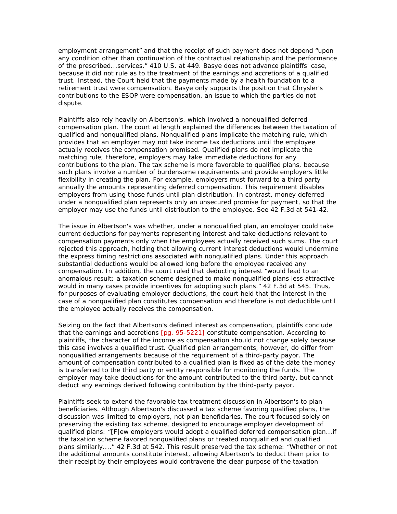employment arrangement" and that the receipt of such payment does not depend "upon any condition other than continuation of the contractual relationship and the performance of the prescribed...services." 410 U.S. at 449. Basye does not advance plaintiffs' case, because it did not rule as to the treatment of the earnings and accretions of a qualified trust. Instead, the Court held that the payments made by a health foundation to a retirement trust were compensation. Basye only supports the position that Chrysler's contributions to the ESOP were compensation, an issue to which the parties do not dispute.

Plaintiffs also rely heavily on Albertson's, which involved a nonqualified deferred compensation plan. The court at length explained the differences between the taxation of qualified and nonqualified plans. Nonqualified plans implicate the matching rule, which provides that an employer may not take income tax deductions until the employee actually receives the compensation promised. Qualified plans do not implicate the matching rule; therefore, employers may take immediate deductions for any contributions to the plan. The tax scheme is more favorable to qualified plans, because such plans involve a number of burdensome requirements and provide employers little flexibility in creating the plan. For example, employers must forward to a third party annually the amounts representing deferred compensation. This requirement disables employers from using those funds until plan distribution. In contrast, money deferred under a nonqualified plan represents only an unsecured promise for payment, so that the employer may use the funds until distribution to the employee. See 42 F.3d at 541-42.

The issue in Albertson's was whether, under a nonqualified plan, an employer could take current deductions for payments representing interest and take deductions relevant to compensation payments only when the employees actually received such sums. The court rejected this approach, holding that allowing current interest deductions would undermine the express timing restrictions associated with nonqualified plans. Under this approach substantial deductions would be allowed long before the employee received any compensation. In addition, the court ruled that deducting interest "would lead to an anomalous result: a taxation scheme designed to make nonqualified plans less attractive would in many cases provide incentives for adopting such plans." 42 F.3d at 545. Thus, for purposes of evaluating employer deductions, the court held that the interest in the case of a nonqualified plan constitutes compensation and therefore is not deductible until the employee actually receives the compensation.

Seizing on the fact that Albertson's defined interest as compensation, plaintiffs conclude that the earnings and accretions [pg. 95-5221] constitute compensation. According to plaintiffs, the character of the income as compensation should not change solely because this case involves a qualified trust. Qualified plan arrangements, however, do differ from nonqualified arrangements because of the requirement of a third-party payor. The amount of compensation contributed to a qualified plan is fixed as of the date the money is transferred to the third party or entity responsible for monitoring the funds. The employer may take deductions for the amount contributed to the third party, but cannot deduct any earnings derived following contribution by the third-party payor.

Plaintiffs seek to extend the favorable tax treatment discussion in Albertson's to plan beneficiaries. Although Albertson's discussed a tax scheme favoring qualified plans, the discussion was limited to employers, not plan beneficiaries. The court focused solely on preserving the existing tax scheme, designed to encourage employer development of qualified plans: "[F]ew employers would adopt a qualified deferred compensation plan...if the taxation scheme favored nonqualified plans or treated nonqualified and qualified plans similarly...." 42 F.3d at 542. This result preserved the tax scheme: "Whether or not the additional amounts constitute interest, allowing Albertson's to deduct them prior to their receipt by their employees would contravene the clear purpose of the taxation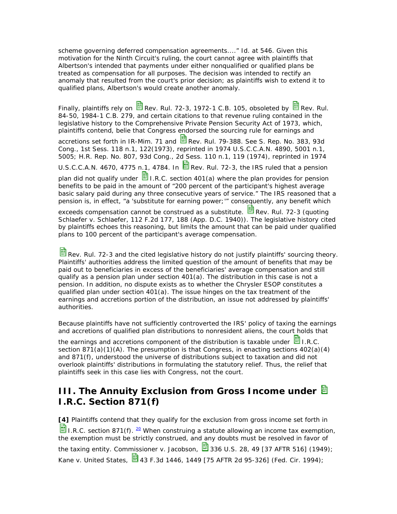scheme governing deferred compensation agreements...." Id. at 546. Given this motivation for the Ninth Circuit's ruling, the court cannot agree with plaintiffs that Albertson's intended that payments under either nonqualified or qualified plans be treated as compensation for all purposes. The decision was intended to rectify an anomaly that resulted from the court's prior decision; as plaintiffs wish to extend it to qualified plans, Albertson's would create another anomaly.

Finally, plaintiffs rely on  $\blacksquare$  Rev. Rul. 72-3, 1972-1 C.B. 105, obsoleted by  $\blacksquare$  Rev. Rul. 84-50, 1984-1 C.B. 279, and certain citations to that revenue ruling contained in the legislative history to the Comprehensive Private Pension Security Act of 1973, which, plaintiffs contend, belie that Congress endorsed the sourcing rule for earnings and

accretions set forth in IR-Mim. 71 and  $\frac{1}{12}$  Rev. Rul. 79-388. See S. Rep. No. 383, 93d Cong., 1st Sess. 118 n.1, 122(1973), reprinted in 1974 U.S.C.C.A.N. 4890, 5001 n.1, 5005; H.R. Rep. No. 807, 93d Cong., 2d Sess. 110 n.1, 119 (1974), reprinted in 1974

U.S.C.C.A.N. 4670, 4775 n.1, 4784. In  $\blacksquare$  Rev. Rul. 72-3, the IRS ruled that a pension

plan did not qualify under  $\blacksquare$  I.R.C. section 401(a) where the plan provides for pension benefits to be paid in the amount of "200 percent of the participant's highest average basic salary paid during any three consecutive years of service." The IRS reasoned that a pension is, in effect, "a 'substitute for earning power;'" consequently, any benefit which

exceeds compensation cannot be construed as a substitute. **B** Rev. Rul. 72-3 (quoting Schlaefer v. Schlaefer, 112 F.2d 177, 188 (App. D.C. 1940)). The legislative history cited by plaintiffs echoes this reasoning, but limits the amount that can be paid under qualified plans to 100 percent of the participant's average compensation.

Rev. Rul. 72-3 and the cited legislative history do not justify plaintiffs' sourcing theory. Plaintiffs' authorities address the limited question of the amount of benefits that may be paid out to beneficiaries in excess of the beneficiaries' average compensation and still qualify as a pension plan under section  $401(a)$ . The distribution in this case is not a pension. In addition, no dispute exists as to whether the Chrysler ESOP constitutes a qualified plan under section 401(a). The issue hinges on the tax treatment of the earnings and accretions portion of the distribution, an issue not addressed by plaintiffs' authorities.

Because plaintiffs have not sufficiently controverted the IRS' policy of taxing the earnings and accretions of qualified plan distributions to nonresident aliens, the court holds that

the earnings and accretions component of the distribution is taxable under  $\blacksquare$  I.R.C. section  $871(a)(1)(A)$ . The presumption is that Congress, in enacting sections  $402(a)(4)$ and 871(f), understood the universe of distributions subject to taxation and did not overlook plaintiffs' distributions in formulating the statutory relief. Thus, the relief that plaintiffs seek in this case lies with Congress, not the court.

# **III. The Annuity Exclusion from Gross Income under I.R.C. Section 871(f)**

**[4]** Plaintiffs contend that they qualify for the exclusion from gross income set forth in **I.R.C.** section 871(f).  $\frac{20}{5}$  When construing a statute allowing an income tax exemption, the exemption must be strictly construed, and any doubts must be resolved in favor of the taxing entity. Commissioner v. Jacobson,  $\overline{3}$  336 U.S. 28, 49 [37 AFTR 516] (1949); Kane v. United States,  $\blacksquare$  43 F.3d 1446, 1449 [75 AFTR 2d 95-326] (Fed. Cir. 1994);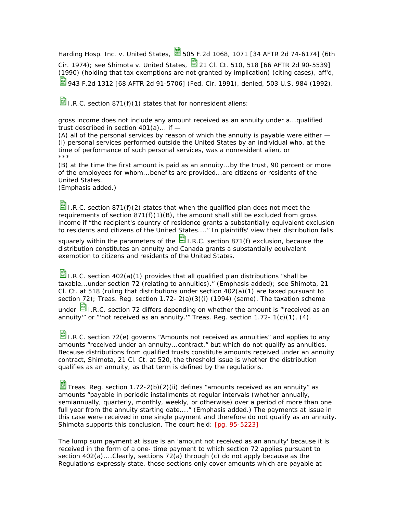Harding Hosp. Inc. v. United States,  $\blacksquare$  505 F.2d 1068, 1071 [34 AFTR 2d 74-6174] (6th Cir. 1974); see Shimota v. United States,  $\Box$  21 Cl. Ct. 510, 518 [66 AFTR 2d 90-5539] (1990) (holding that tax exemptions are not granted by implication) (citing cases), aff'd, **9**943 F.2d 1312 [68 AFTR 2d 91-5706] (Fed. Cir. 1991), denied, 503 U.S. 984 (1992).

**I.** I.R.C. section 871(f)(1) states that for nonresident aliens:

gross income does not include any amount *received as an annuity* under a...*qualified trust described in section 401(a)*... if —

(A) all of the personal services by reason of which the annuity is payable were either — (i) personal services performed outside the United States by an individual who, at the time of performance of such personal services, was a nonresident alien, or \*\*\*

(B) *at the time the first amount is paid as an annuity*...by the trust, 90 percent or more of the employees for whom...benefits are provided...are citizens or residents of the United States.

(Emphasis added.)

 $\Box$  I.R.C. section 871(f)(2) states that when the qualified plan does not meet the requirements of section  $871(f)(1)(B)$ , the amount shall still be excluded from gross income if "the recipient's country of residence grants a substantially equivalent exclusion to residents and citizens of the United States...." In plaintiffs' view their distribution falls

squarely within the parameters of the  $\Box$  I.R.C. section 871(f) exclusion, because the distribution constitutes an annuity and Canada grants a substantially equivalent exemption to citizens and residents of the United States.

I.R.C. section 402(a)(1) provides that all qualified plan distributions "*shall be taxable...under section 72* (relating to annuities)." (Emphasis added); see Shimota, 21 Cl. Ct. at 518 (ruling that distributions under section 402(a)(1) are taxed pursuant to section 72); Treas. Reg. section  $1.72 - 2(a)(3)(i)$  (1994) (same). The taxation scheme under **I.R.C.** section 72 differs depending on whether the amount is "received as an annuity'" or "'not received as an annuity.'" Treas. Req. section  $1.72 - 1(c)(1)$ ,  $(4)$ .

I.R.C. section 72(e) governs "Amounts not received as annuities" and applies to any amounts "received under an annuity...contract," but which do not qualify as annuities. Because distributions from qualified trusts constitute amounts received under an annuity contract, Shimota, 21 Cl. Ct. at 520, the threshold issue is whether the distribution qualifies as an annuity, as that term is defined by the regulations.

Treas. Reg. section 1.72-2(b)(2)(ii) defines "amounts received as an annuity" as amounts "payable in *periodic installments at regular intervals* (whether annually, semiannually, quarterly, monthly, weekly, or otherwise) over a period *of more than one full year* from the annuity starting date...." (Emphasis added.) The payments at issue in this case were received in one single payment and therefore do not qualify as an annuity. Shimota supports this conclusion. The court held: [pg. 95-5223]

The lump sum payment at issue is an 'amount not received as an annuity' because it is received in the form of a one- time payment to which section 72 applies pursuant to section 402(a)....Clearly, sections 72(a) through (c) do not apply because as the Regulations expressly state, those sections only cover amounts which are payable at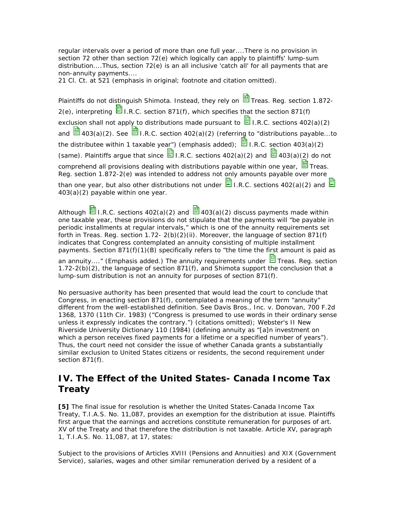*regular intervals* over a period of more than one full year....There is no provision in section 72 other than section 72(e) which logically can apply to plaintiffs' lump-sum distribution....Thus, section 72(e) is an all inclusive 'catch all' for all payments that are non-annuity payments....

21 Cl. Ct. at 521 (emphasis in original; footnote and citation omitted).

Plaintiffs do not distinguish Shimota. Instead, they rely on  $\mathbb{E}$  Treas. Reg. section 1.872- $2(e)$ , interpreting  $\Box$  I.R.C. section 871(f), which specifies that the section 871(f) exclusion shall not apply to distributions made pursuant to  $\Box$  I.R.C. sections 402(a)(2) and  $\frac{1}{20}$  403(a)(2). See  $\frac{1}{20}$  I.R.C. section 402(a)(2) (referring to "distributions payable...to the distributee *within 1 taxable year*") (emphasis added);  $\Box$  I.R.C. section 403(a)(2) (same). Plaintiffs argue that since  $\frac{1}{2}$  I.R.C. sections 402(a)(2) and  $\frac{1}{2}$  403(a)(2) do not comprehend all provisions dealing with distributions payable within one year,  $\frac{1}{\ln 3}$  Treas. Reg. section 1.872-2(e) was intended to address not only amounts payable over more than one year, but also other distributions not under  $\Xi$  I.R.C. sections 402(a)(2) and  $\Xi$ 403(a)(2) payable within one year.

Although  $\blacksquare$  I.R.C. sections 402(a)(2) and  $\blacksquare$  403(a)(2) discuss payments made within one taxable year, these provisions do not stipulate that the payments will "be payable in periodic installments at regular intervals," which is one of the annuity requirements set forth in Treas. Reg. section  $1.72 - 2(b)(2)(ii)$ . Moreover, the language of section 871(f) indicates that Congress contemplated an annuity consisting of multiple installment payments. Section 871(f)(1)(B) specifically refers to "the time the *first amount is paid as an annuity....*" (Emphasis added.) The annuity requirements under **T** Treas. Reg. section 1.72-2(b)(2), the language of section 871(f), and Shimota support the conclusion that a lump-sum distribution is not an annuity for purposes of section 871(f).

No persuasive authority has been presented that would lead the court to conclude that Congress, in enacting section 871(f), contemplated a meaning of the term "annuity" different from the well-established definition. See Davis Bros., Inc. v. Donovan, 700 F.2d 1368, 1370 (11th Cir. 1983) ("Congress is presumed to use words in their ordinary sense unless it expressly indicates the contrary.") (citations omitted); Webster's II New Riverside University Dictionary 110 (1984) (defining annuity as "[a]n investment on which a person receives fixed payments for a lifetime or a specified number of vears"). Thus, the court need not consider the issue of whether Canada grants a substantially similar exclusion to United States citizens or residents, the second requirement under section 871(f).

## **IV. The Effect of the United States- Canada Income Tax Treaty**

**[5]** The final issue for resolution is whether the United States-Canada Income Tax Treaty, T.I.A.S. No. 11,087, provides an exemption for the distribution at issue. Plaintiffs first argue that the earnings and accretions constitute remuneration for purposes of art. XV of the Treaty and that therefore the distribution is not taxable. Article XV, paragraph 1, T.I.A.S. No. 11,087, at 17, states:

Subject to the provisions of Articles XVIII (Pensions and Annuities) and XIX (Government Service), *salaries, wages and other similar remuneration* derived by a resident of a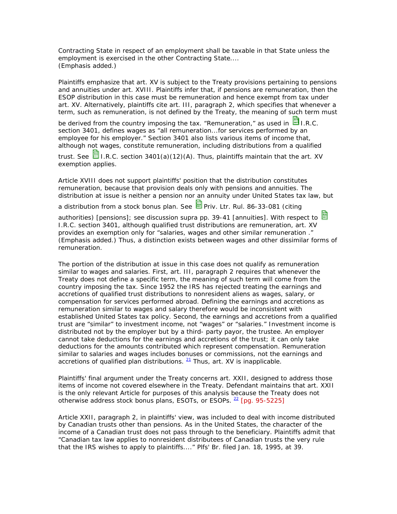Contracting State in respect of an employment shall be taxable in that State *unless the employment is exercised in the other Contracting State*.... (Emphasis added.)

Plaintiffs emphasize that art. XV is subject to the Treaty provisions pertaining to pensions and annuities under art. XVIII. Plaintiffs infer that, if pensions are remuneration, then the ESOP distribution in this case must be remuneration and hence exempt from tax under art. XV. Alternatively, plaintiffs cite art. III, paragraph 2, which specifies that whenever a term, such as remuneration, is not defined by the Treaty, the meaning of such term must

be derived from the country imposing the tax. "Remuneration," as used in  $\Box$  I.R.C. section 3401, defines wages as "all remuneration...for services performed by an employee for his employer." Section 3401 also lists various items of income that, although not wages, constitute remuneration, including distributions from a qualified

trust. See  $\Box$  I.R.C. section 3401(a)(12)(A). Thus, plaintiffs maintain that the art. XV exemption applies.

Article XVIII does not support plaintiffs' position that the distribution constitutes remuneration, because that provision deals only with pensions and annuities. The distribution at issue is neither a pension nor an annuity under United States tax law, but

a distribution from a stock bonus plan. See  $\Xi$  Priv. Ltr. Rul. 86-33-081 (citing

authorities) [pensions]; see discussion supra pp. 39-41 [annuities]. With respect to  $\blacksquare$ I.R.C. section 3401, although qualified trust distributions are remuneration, art. XV provides an exemption only for "salaries, wages and *other similar remuneration* ." (Emphasis added.) Thus, a distinction exists between wages and other dissimilar forms of remuneration.

The portion of the distribution at issue in this case does not qualify as remuneration similar to wages and salaries. First, art. III, paragraph 2 requires that whenever the Treaty does not define a specific term, the meaning of such term will come from the country imposing the tax. Since 1952 the IRS has rejected treating the earnings and accretions of qualified trust distributions to nonresident aliens as wages, salary, or compensation for services performed abroad. Defining the earnings and accretions as remuneration similar to wages and salary therefore would be inconsistent with established United States tax policy. Second, the earnings and accretions from a qualified trust are "similar" to investment income, not "wages" or "salaries." Investment income is distributed not by the employer but by a third- party payor, the trustee. An employer cannot take deductions for the earnings and accretions of the trust; it can only take deductions for the amounts contributed which represent compensation. Remuneration similar to salaries and wages includes bonuses or commissions, not the earnings and accretions of qualified plan distributions.  $21$  Thus, art. XV is inapplicable.

Plaintiffs' final argument under the Treaty concerns art. XXII, designed to address those items of income not covered elsewhere in the Treaty. Defendant maintains that art. XXII is the only relevant Article for purposes of this analysis because the Treaty does not otherwise address stock bonus plans, ESOTs, or ESOPs. <sup>22</sup> [pg. 95-5225]

Article XXII, paragraph 2, in plaintiffs' view, was included to deal with income distributed by Canadian trusts other than pensions. As in the United States, the character of the income of a Canadian trust does not pass through to the beneficiary. Plaintiffs admit that "Canadian tax law applies to nonresident distributees of Canadian trusts the very rule that the IRS wishes to apply to plaintiffs...." Plfs' Br. filed Jan. 18, 1995, at 39.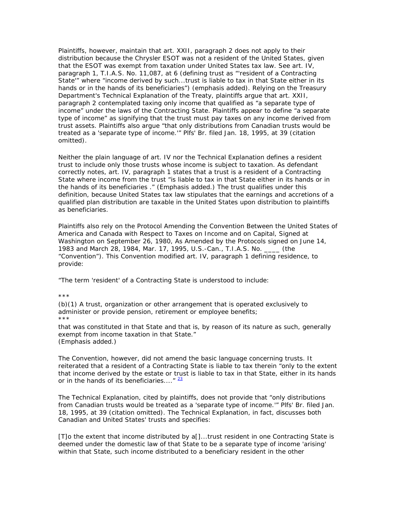Plaintiffs, however, maintain that art. XXII, paragraph 2 does not apply to their distribution because the Chrysler ESOT was not a resident of the United States, given that the ESOT was exempt from taxation under United States tax law. See art. IV, paragraph 1, T.I.A.S. No. 11,087, at 6 (defining trust as "'resident of a Contracting State'" where "income derived by such...trust *is liable to tax in that State either in its hands or in the hands of its beneficiaries*") (emphasis added). Relying on the Treasury Department's Technical Explanation of the Treaty, plaintiffs argue that art. XXII, paragraph 2 contemplated taxing only income that qualified as "a separate type of income" under the laws of the Contracting State. Plaintiffs appear to define "a separate type of income" as signifying that the trust must pay taxes on any income derived from trust assets. Plaintiffs also argue "that only distributions from Canadian trusts would be treated as a 'separate type of income.'" Plfs' Br. filed Jan. 18, 1995, at 39 (citation omitted).

Neither the plain language of art. IV nor the Technical Explanation defines a resident trust to include only those trusts whose income is subject to taxation. As defendant correctly notes, art. IV, paragraph 1 states that a trust is a resident of a Contracting State where income from the trust "is *liable to tax in that State either in its hands or in the hands of its beneficiaries* ." (Emphasis added.) The trust qualifies under this definition, because United States tax law stipulates that the earnings and accretions of a qualified plan distribution are taxable in the United States upon distribution to plaintiffs as beneficiaries.

Plaintiffs also rely on the Protocol Amending the Convention Between the United States of America and Canada with Respect to Taxes on Income and on Capital, Signed at Washington on September 26, 1980, As Amended by the Protocols signed on June 14, 1983 and March 28, 1984, Mar. 17, 1995, U.S.-Can., T.I.A.S. No. \_\_\_\_ (the "Convention"). This Convention modified art. IV, paragraph 1 defining residence, to provide:

"The term 'resident' of a Contracting State *is understood to include*:

\*\*\*

(b)(1) A trust, organization or other arrangement that is operated exclusively to administer or provide pension, retirement or employee benefits; \*\*\*

that was constituted in that State and that is, by reason of its nature as such, generally exempt from income taxation in that State." (Emphasis added.)

The Convention, however, did not amend the basic language concerning trusts. It reiterated that a resident of a Contracting State is liable to tax therein "only to the extent that income derived by the estate or trust is liable to tax in that State, either in its hands or in the hands of its beneficiaries...."  $\frac{23}{2}$ 

The Technical Explanation, cited by plaintiffs, does not provide that "only distributions from Canadian trusts would be treated as a 'separate type of income.'" Plfs' Br. filed Jan. 18, 1995, at 39 (citation omitted). The Technical Explanation, in fact, discusses both Canadian and United States' trusts and specifies:

[T]o the extent that income distributed by a[]...trust resident in one Contracting State is deemed *under the domestic law of that State to be a separate type of income 'arising' within that State*, such income distributed to a beneficiary resident in the other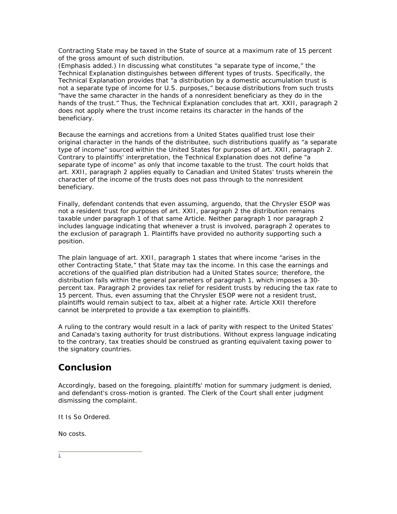Contracting State may be taxed in the State of source at a maximum rate of 15 percent of the gross amount of such distribution.

(Emphasis added.) In discussing what constitutes "a separate type of income," the Technical Explanation distinguishes between different types of trusts. Specifically, the Technical Explanation provides that "a distribution by a domestic accumulation trust is not a separate type of income for U.S. purposes," because distributions from such trusts "have the same character in the hands of a nonresident beneficiary as they do in the hands of the trust." Thus, the Technical Explanation concludes that art. XXII, paragraph 2 does not apply where the trust income retains its character in the hands of the beneficiary.

Because the earnings and accretions from a United States qualified trust lose their original character in the hands of the distributee, such distributions qualify as "a separate type of income" sourced within the United States for purposes of art. XXII, paragraph 2. Contrary to plaintiffs' interpretation, the Technical Explanation does not define "a separate type of income" as only that income taxable to the trust. The court holds that art. XXII, paragraph 2 applies equally to Canadian and United States' trusts wherein the character of the income of the trusts does not pass through to the nonresident beneficiary.

Finally, defendant contends that even assuming, arguendo, that the Chrysler ESOP was not a resident trust for purposes of art. XXII, paragraph 2 the distribution remains taxable under paragraph 1 of that same Article. Neither paragraph 1 nor paragraph 2 includes language indicating that whenever a trust is involved, paragraph 2 operates to the exclusion of paragraph 1. Plaintiffs have provided no authority supporting such a position.

The plain language of art. XXII, paragraph 1 states that where income "arises in the other Contracting State," that State may tax the income. In this case the earnings and accretions of the qualified plan distribution had a United States source; therefore, the distribution falls within the general parameters of paragraph 1, which imposes a 30 percent tax. Paragraph 2 provides tax relief for resident trusts by reducing the tax rate to 15 percent. Thus, even assuming that the Chrysler ESOP were not a resident trust, plaintiffs would remain subject to tax, albeit at a higher rate. Article XXII therefore cannot be interpreted to provide a tax exemption to plaintiffs.

A ruling to the contrary would result in a lack of parity with respect to the United States' and Canada's taxing authority for trust distributions. Without express language indicating to the contrary, tax treaties should be construed as granting equivalent taxing power to the signatory countries.

## **Conclusion**

Accordingly, based on the foregoing, plaintiffs' motion for summary judgment is denied, and defendant's cross-motion is granted. The Clerk of the Court shall enter judgment dismissing the complaint.

It Is So Ordered.

No costs.

 $\frac{1}{\sqrt{2}}$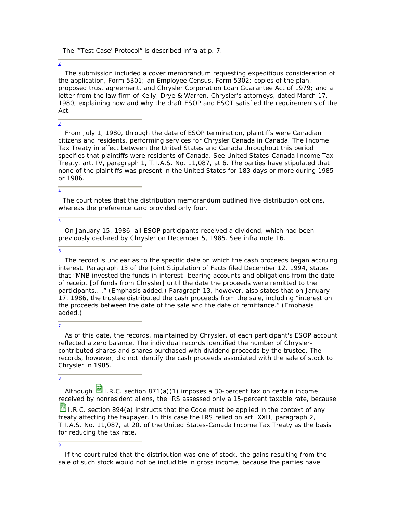The "'Test Case' Protocol" is described infra at p. 7.

2

 The submission included a cover memorandum requesting expeditious consideration of the application, Form 5301; an Employee Census, Form 5302; copies of the plan, proposed trust agreement, and Chrysler Corporation Loan Guarantee Act of 1979; and a letter from the law firm of Kelly, Drye & Warren, Chrysler's attorneys, dated March 17, 1980, explaining how and why the draft ESOP and ESOT satisfied the requirements of the Act.

## 3

 From July 1, 1980, through the date of ESOP termination, plaintiffs were Canadian citizens and residents, performing services for Chrysler Canada in Canada. The Income Tax Treaty in effect between the United States and Canada throughout this period specifies that plaintiffs were residents of Canada. See United States-Canada Income Tax Treaty, art. IV, paragraph 1, T.I.A.S. No. 11,087, at 6. The parties have stipulated that none of the plaintiffs was present in the United States for 183 days or more during 1985 or 1986.

### $\frac{4}{1}$

 The court notes that the distribution memorandum outlined five distribution options, whereas the preference card provided only four.

### 5

 On January 15, 1986, all ESOP participants received a dividend, which had been previously declared by Chrysler on December 5, 1985. See infra note 16.

### 6

 The record is unclear as to the specific date on which the cash proceeds began accruing interest. Paragraph 13 of the Joint Stipulation of Facts filed December 12, 1994, states that "MNB invested the funds in interest- bearing accounts and obligations *from the date of receipt [of funds from Chrysler]* until the date the proceeds were remitted to the participants...." (Emphasis added.) Paragraph 13, however, also states that on January 17, 1986, the trustee distributed the cash proceeds from the sale, including "interest on the proceeds between *the date of the sale* and the date of remittance." (Emphasis added.)

## 7

 As of this date, the records, maintained by Chrysler, of each participant's ESOP account reflected a zero balance. The individual records identified the number of Chryslercontributed shares and shares purchased with dividend proceeds by the trustee. The records, however, did not identify the cash proceeds associated with the sale of stock to Chrysler in 1985.

### 8

Although  $\Xi$  I.R.C. section 871(a)(1) imposes a 30-percent tax on certain income received by nonresident aliens, the IRS assessed only a 15-percent taxable rate, because

**I.R.C. section 894(a) instructs that the Code must be applied in the context of any** treaty affecting the taxpayer. In this case the IRS relied on art. XXII, paragraph 2, T.I.A.S. No. 11,087, at 20, of the United States-Canada Income Tax Treaty as the basis for reducing the tax rate.

### 9

If the court ruled that the distribution was one of stock, the gains resulting from the sale of such stock would not be includible in gross income, because the parties have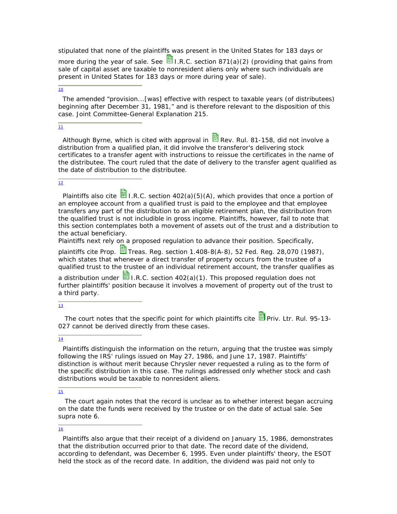stipulated that none of the plaintiffs was present in the United States for 183 days or

more during the year of sale. See  $\mathbf{B}_{\text{L.R.C.}}$  section 871(a)(2) (providing that gains from sale of capital asset are taxable to nonresident aliens only where such individuals are present in United States for 183 days or more during year of sale).

### $\overline{10}$

 The amended "provision...[was] effective with respect to taxable years (of distributees) beginning after December 31, 1981," and is therefore relevant to the disposition of this case. Joint Committee-General Explanation 215.

### 11

Although Byrne, which is cited with approval in  $\mathbb{B}$  Rev. Rul. 81-158, did not involve a distribution from a qualified plan, it did involve the transferor's delivering stock certificates to a transfer agent with instructions to reissue the certificates in the name of the distributee. The court ruled that the date of delivery to the transfer agent qualified as the date of distribution to the distributee.

### 12

Plaintiffs also cite  $\blacksquare$  I.R.C. section 402(a)(5)(A), which provides that once a portion of an employee account from a qualified trust is paid to the employee and that employee transfers any part of the distribution to an eligible retirement plan, the distribution from the qualified trust is not includible in gross income. Plaintiffs, however, fail to note that this section contemplates both a movement of assets out of the trust and a distribution to the actual beneficiary.

Plaintiffs next rely on a proposed regulation to advance their position. Specifically,

plaintiffs cite Prop.  $\Box$  Treas. Reg. section 1.408-8(A-8), 52 Fed. Reg. 28,070 (1987), which states that whenever a direct transfer of property occurs from the trustee of a qualified trust to the trustee of an individual retirement account, the transfer qualifies as

a distribution under  $\blacksquare$  I.R.C. section 402(a)(1). This proposed regulation does not further plaintiffs' position because it involves a movement of property out of the trust to a third party.

### $\overline{13}$

The court notes that the specific point for which plaintiffs cite  $\Box$  Priv. Ltr. Rul. 95-13-027 cannot be derived directly from these cases.

#### 14

 Plaintiffs distinguish the information on the return, arguing that the trustee was simply following the IRS' rulings issued on May 27, 1986, and June 17, 1987. Plaintiffs' distinction is without merit because Chrysler never requested a ruling as to the form of the specific distribution in this case. The rulings addressed only whether stock and cash distributions would be taxable to nonresident aliens.

### 15

 The court again notes that the record is unclear as to whether interest began accruing on the date the funds were received by the trustee or on the date of actual sale. See supra note 6.

### 16

 Plaintiffs also argue that their receipt of a dividend on January 15, 1986, demonstrates that the distribution occurred prior to that date. The record date of the dividend, according to defendant, was December 6, 1995. Even under plaintiffs' theory, the ESOT held the stock as of the record date. In addition, the dividend was paid not only to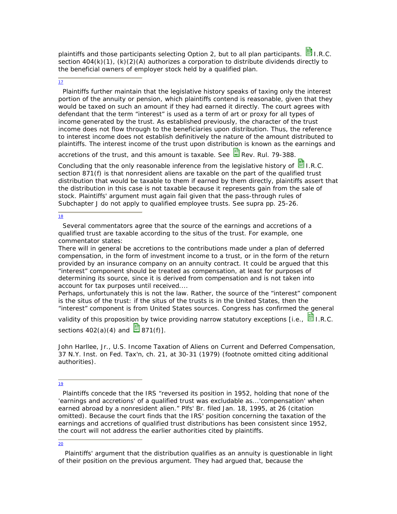plaintiffs and those participants selecting Option 2, but to all plan participants.  $\overline{\mathbf{B}}$  I.R.C. section  $404(k)(1)$ ,  $(k)(2)(A)$  authorizes a corporation to distribute dividends directly to the beneficial owners of employer stock held by a qualified plan.

### $\overline{17}$

 Plaintiffs further maintain that the legislative history speaks of taxing only the interest portion of the annuity or pension, which plaintiffs contend is reasonable, given that they would be taxed on such an amount if they had earned it directly. The court agrees with defendant that the term "interest" is used as a term of art or proxy for all types of income generated by the trust. As established previously, the character of the trust income does not flow through to the beneficiaries upon distribution. Thus, the reference to interest income does not establish definitively the nature of the amount distributed to plaintiffs. The interest income of the trust upon distribution is known as the earnings and

accretions of the trust, and this amount is taxable. See  $\Xi$  Rev. Rul. 79-388.

Concluding that the only reasonable inference from the legislative history of  $\Box$  I.R.C. section 871(f) is that nonresident aliens are taxable on the part of the qualified trust distribution that would be taxable to them if earned by them directly, plaintiffs assert that the distribution in this case is not taxable because it represents gain from the sale of stock. Plaintiffs' argument must again fail given that the pass-through rules of Subchapter J do not apply to qualified employee trusts. See supra pp. 25-26.

18

 Several commentators agree that the source of the earnings and accretions of a qualified trust are taxable according to the situs of the trust. For example, one commentator states:

There will in general be accretions to the contributions made under a plan of deferred compensation, in the form of investment income to a trust, or in the form of the return provided by an insurance company on an annuity contract. It could be argued that this "interest" component should be treated as compensation, at least for purposes of determining its source, since it is derived from compensation and is not taken into account for tax purposes until received....

Perhaps, unfortunately this is not the law. Rather, the source of the "interest" component is the situs of the trust: if the situs of the trusts is in the United States, then the "interest" component is from United States sources. Congress has confirmed the general

validity of this proposition by twice providing narrow statutory exceptions [i.e.,  $\blacksquare$  I.R.C. sections  $402(a)(4)$  and  $\overline{3}871(f)1$ .

John Harllee, Jr., U.S. Income Taxation of Aliens on Current and Deferred Compensation, 37 N.Y. Inst. on Fed. Tax'n, ch. 21, at 30-31 (1979) (footnote omitted citing additional authorities).

#### 19

 Plaintiffs concede that the IRS "reversed its position in 1952, holding that none of the 'earnings and accretions' of a qualified trust was excludable as...'compensation' when earned abroad by a nonresident alien." Plfs' Br. filed Jan. 18, 1995, at 26 (citation omitted). Because the court finds that the IRS' position concerning the taxation of the earnings and accretions of qualified trust distributions has been consistent since 1952, the court will not address the earlier authorities cited by plaintiffs.

#### 20

Plaintiffs' argument that the distribution qualifies as an annuity is questionable in light of their position on the previous argument. They had argued that, because the